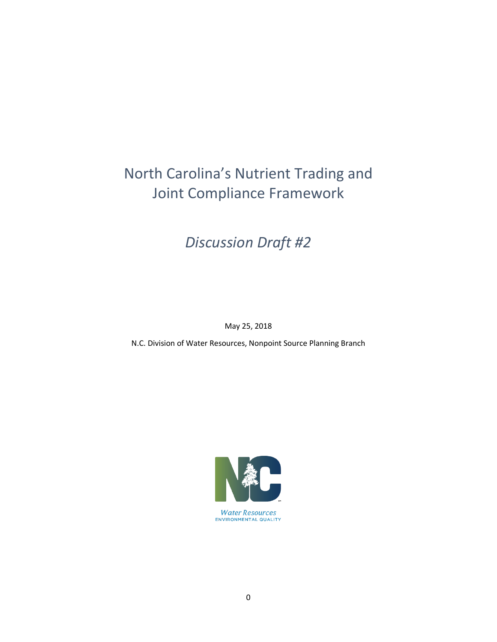# North Carolina's Nutrient Trading and Joint Compliance Framework

# *Discussion Draft #2*

May 25, 2018

N.C. Division of Water Resources, Nonpoint Source Planning Branch



**ENVIRONMENTAL QUALITY**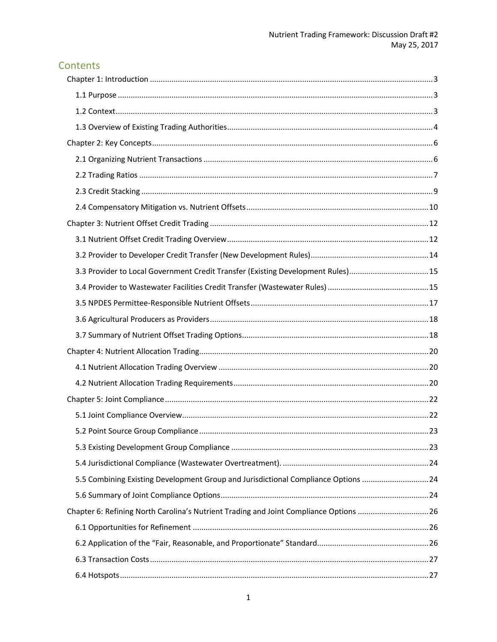# Contents

| 3.3 Provider to Local Government Credit Transfer (Existing Development Rules)15       |  |
|---------------------------------------------------------------------------------------|--|
|                                                                                       |  |
|                                                                                       |  |
|                                                                                       |  |
|                                                                                       |  |
|                                                                                       |  |
|                                                                                       |  |
|                                                                                       |  |
|                                                                                       |  |
|                                                                                       |  |
|                                                                                       |  |
|                                                                                       |  |
|                                                                                       |  |
| 5.5 Combining Existing Development Group and Jurisdictional Compliance Options 24     |  |
|                                                                                       |  |
| Chapter 6: Refining North Carolina's Nutrient Trading and Joint Compliance Options 26 |  |
|                                                                                       |  |
|                                                                                       |  |
|                                                                                       |  |
|                                                                                       |  |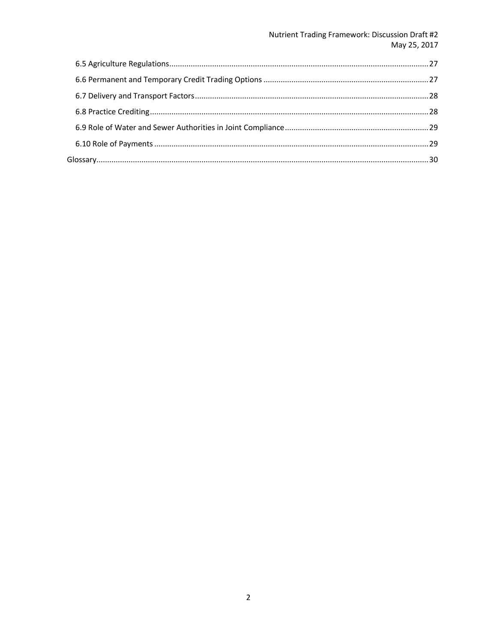## Nutrient Trading Framework: Discussion Draft #2 May 25, 2017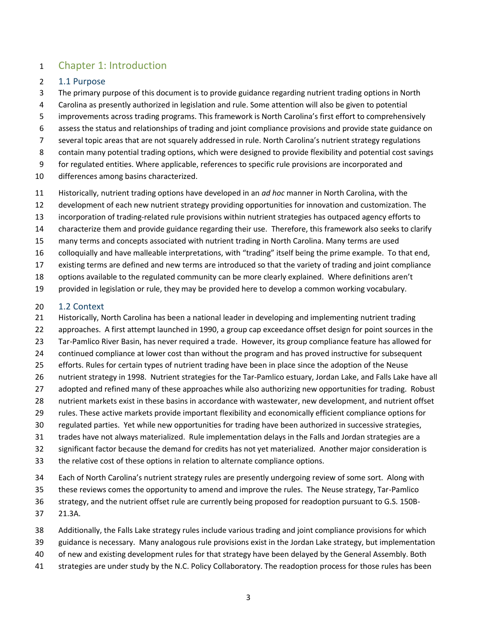# <span id="page-3-0"></span>Chapter 1: Introduction

### <span id="page-3-1"></span>1.1 Purpose

- The primary purpose of this document is to provide guidance regarding nutrient trading options in North
- Carolina as presently authorized in legislation and rule. Some attention will also be given to potential
- improvements across trading programs. This framework is North Carolina's first effort to comprehensively
- assess the status and relationships of trading and joint compliance provisions and provide state guidance on
- several topic areas that are not squarely addressed in rule. North Carolina's nutrient strategy regulations
- contain many potential trading options, which were designed to provide flexibility and potential cost savings
- for regulated entities. Where applicable, references to specific rule provisions are incorporated and
- differences among basins characterized.
- Historically, nutrient trading options have developed in an *ad hoc* manner in North Carolina, with the
- development of each new nutrient strategy providing opportunities for innovation and customization. The
- incorporation of trading-related rule provisions within nutrient strategies has outpaced agency efforts to
- characterize them and provide guidance regarding their use. Therefore, this framework also seeks to clarify
- many terms and concepts associated with nutrient trading in North Carolina. Many terms are used
- colloquially and have malleable interpretations, with "trading" itself being the prime example. To that end,
- existing terms are defined and new terms are introduced so that the variety of trading and joint compliance
- options available to the regulated community can be more clearly explained. Where definitions aren't
- provided in legislation or rule, they may be provided here to develop a common working vocabulary.

#### <span id="page-3-2"></span>1.2 Context

- Historically, North Carolina has been a national leader in developing and implementing nutrient trading
- approaches. A first attempt launched in 1990, a group cap exceedance offset design for point sources in the
- Tar-Pamlico River Basin, has never required a trade. However, its group compliance feature has allowed for
- continued compliance at lower cost than without the program and has proved instructive for subsequent
- efforts. Rules for certain types of nutrient trading have been in place since the adoption of the Neuse
- nutrient strategy in 1998. Nutrient strategies for the Tar-Pamlico estuary, Jordan Lake, and Falls Lake have all
- adopted and refined many of these approaches while also authorizing new opportunities for trading. Robust
- nutrient markets exist in these basins in accordance with wastewater, new development, and nutrient offset
- rules. These active markets provide important flexibility and economically efficient compliance options for
- regulated parties. Yet while new opportunities for trading have been authorized in successive strategies,
- trades have not always materialized. Rule implementation delays in the Falls and Jordan strategies are a
- significant factor because the demand for credits has not yet materialized. Another major consideration is
- the relative cost of these options in relation to alternate compliance options.
- Each of North Carolina's nutrient strategy rules are presently undergoing review of some sort. Along with
- these reviews comes the opportunity to amend and improve the rules. The Neuse strategy, Tar-Pamlico
- strategy, and the nutrient offset rule are currently being proposed for readoption pursuant to G.S. 150B-
- 21.3A.
- Additionally, the Falls Lake strategy rules include various trading and joint compliance provisions for which
- guidance is necessary. Many analogous rule provisions exist in the Jordan Lake strategy, but implementation
- of new and existing development rules for that strategy have been delayed by the General Assembly. Both
- strategies are under study by the N.C. Policy Collaboratory. The readoption process for those rules has been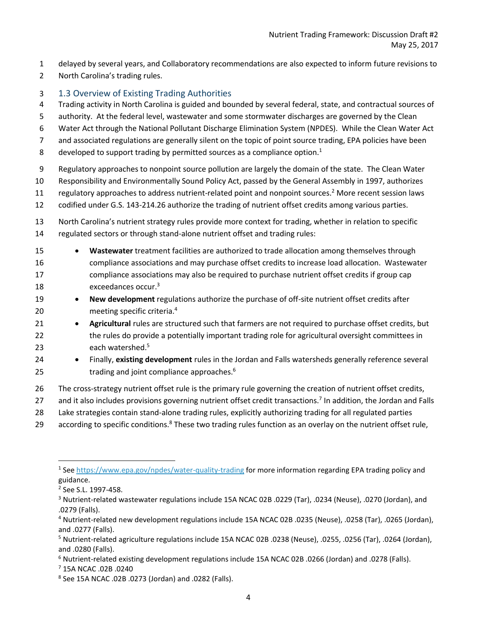- delayed by several years, and Collaboratory recommendations are also expected to inform future revisions to
- North Carolina's trading rules.

#### <span id="page-4-0"></span>1.3 Overview of Existing Trading Authorities

- Trading activity in North Carolina is guided and bounded by several federal, state, and contractual sources of
- authority. At the federal level, wastewater and some stormwater discharges are governed by the Clean
- Water Act through the National Pollutant Discharge Elimination System (NPDES). While the Clean Water Act
- and associated regulations are generally silent on the topic of point source trading, EPA policies have been
- 8 developed to support trading by permitted sources as a compliance option.<sup>1</sup>
- Regulatory approaches to nonpoint source pollution are largely the domain of the state. The Clean Water
- Responsibility and Environmentally Sound Policy Act, passed by the General Assembly in 1997, authorizes
- 11 regulatory approaches to address nutrient-related point and nonpoint sources.<sup>2</sup> More recent session laws
- codified under G.S. 143-214.26 authorize the trading of nutrient offset credits among various parties.
- North Carolina's nutrient strategy rules provide more context for trading, whether in relation to specific
- regulated sectors or through stand-alone nutrient offset and trading rules:
- **Wastewater** treatment facilities are authorized to trade allocation among themselves through compliance associations and may purchase offset credits to increase load allocation. Wastewater compliance associations may also be required to purchase nutrient offset credits if group cap 18 **exceedances occur.**<sup>3</sup>
- **New development** regulations authorize the purchase of off-site nutrient offset credits after 20 meeting specific criteria.<sup>4</sup>
- **Agricultural** rules are structured such that farmers are not required to purchase offset credits, but 22 the rules do provide a potentially important trading role for agricultural oversight committees in each watershed.<sup>5</sup>
- Finally, **existing development** rules in the Jordan and Falls watersheds generally reference several 25 trading and joint compliance approaches.<sup>6</sup>
- The cross-strategy nutrient offset rule is the primary rule governing the creation of nutrient offset credits,
- 27 and it also includes provisions governing nutrient offset credit transactions.<sup>7</sup> In addition, the Jordan and Falls
- Lake strategies contain stand-alone trading rules, explicitly authorizing trading for all regulated parties
- 29 according to specific conditions. These two trading rules function as an overlay on the nutrient offset rule,

 $\overline{\phantom{a}}$ 

15A NCAC .02B .0240

<sup>&</sup>lt;sup>1</sup> See<https://www.epa.gov/npdes/water-quality-trading> for more information regarding EPA trading policy and guidance.

See S.L. 1997-458.

<sup>&</sup>lt;sup>3</sup> Nutrient-related wastewater regulations include 15A NCAC 02B .0229 (Tar), .0234 (Neuse), .0270 (Jordan), and .0279 (Falls).

 Nutrient-related new development regulations include 15A NCAC 02B .0235 (Neuse), .0258 (Tar), .0265 (Jordan), and .0277 (Falls).

 Nutrient-related agriculture regulations include 15A NCAC 02B .0238 (Neuse), .0255, .0256 (Tar), .0264 (Jordan), and .0280 (Falls).

Nutrient-related existing development regulations include 15A NCAC 02B .0266 (Jordan) and .0278 (Falls).

See 15A NCAC .02B .0273 (Jordan) and .0282 (Falls).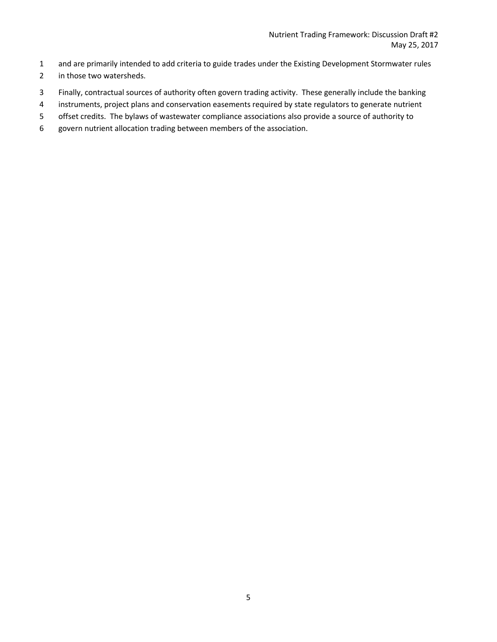- and are primarily intended to add criteria to guide trades under the Existing Development Stormwater rules
- in those two watersheds.
- Finally, contractual sources of authority often govern trading activity. These generally include the banking
- instruments, project plans and conservation easements required by state regulators to generate nutrient
- offset credits. The bylaws of wastewater compliance associations also provide a source of authority to
- govern nutrient allocation trading between members of the association.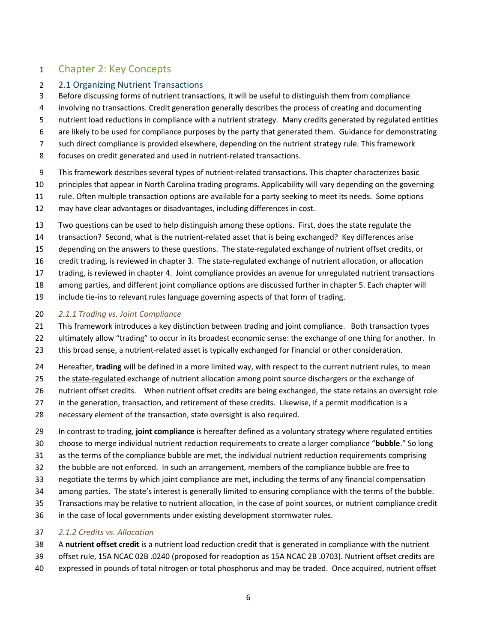# <span id="page-6-0"></span>Chapter 2: Key Concepts

## <span id="page-6-1"></span>2.1 Organizing Nutrient Transactions

- Before discussing forms of nutrient transactions, it will be useful to distinguish them from compliance
- involving no transactions. Credit generation generally describes the process of creating and documenting
- nutrient load reductions in compliance with a nutrient strategy. Many credits generated by regulated entities
- are likely to be used for compliance purposes by the party that generated them. Guidance for demonstrating
- such direct compliance is provided elsewhere, depending on the nutrient strategy rule. This framework
- focuses on credit generated and used in nutrient-related transactions.
- This framework describes several types of nutrient-related transactions. This chapter characterizes basic
- principles that appear in North Carolina trading programs. Applicability will vary depending on the governing
- rule. Often multiple transaction options are available for a party seeking to meet its needs. Some options
- may have clear advantages or disadvantages, including differences in cost.
- Two questions can be used to help distinguish among these options. First, does the state regulate the
- transaction? Second, what is the nutrient-related asset that is being exchanged? Key differences arise
- depending on the answers to these questions. The state-regulated exchange of nutrient offset credits, or
- credit trading, is reviewed in chapter 3. The state-regulated exchange of nutrient allocation, or allocation
- trading, is reviewed in chapter 4. Joint compliance provides an avenue for unregulated nutrient transactions
- among parties, and different joint compliance options are discussed further in chapter 5. Each chapter will
- include tie-ins to relevant rules language governing aspects of that form of trading.

#### *2.1.1 Trading vs. Joint Compliance*

- This framework introduces a key distinction between trading and joint compliance. Both transaction types
- 22 ultimately allow "trading" to occur in its broadest economic sense: the exchange of one thing for another. In
- 23 this broad sense, a nutrient-related asset is typically exchanged for financial or other consideration.
- Hereafter, **trading** will be defined in a more limited way, with respect to the current nutrient rules, to mean
- the state-regulated exchange of nutrient allocation among point source dischargers or the exchange of
- nutrient offset credits. When nutrient offset credits are being exchanged, the state retains an oversight role
- 27 in the generation, transaction, and retirement of these credits. Likewise, if a permit modification is a
- necessary element of the transaction, state oversight is also required.
- In contrast to trading, **joint compliance** is hereafter defined as a voluntary strategy where regulated entities
- choose to merge individual nutrient reduction requirements to create a larger compliance "**bubble**." So long
- as the terms of the compliance bubble are met, the individual nutrient reduction requirements comprising
- the bubble are not enforced. In such an arrangement, members of the compliance bubble are free to
- negotiate the terms by which joint compliance are met, including the terms of any financial compensation
- among parties. The state's interest is generally limited to ensuring compliance with the terms of the bubble.
- Transactions may be relative to nutrient allocation, in the case of point sources, or nutrient compliance credit
- in the case of local governments under existing development stormwater rules.

### *2.1.2 Credits vs. Allocation*

- A **nutrient offset credit** is a nutrient load reduction credit that is generated in compliance with the nutrient
- offset rule, 15A NCAC 02B .0240 (proposed for readoption as 15A NCAC 2B .0703). Nutrient offset credits are
- expressed in pounds of total nitrogen or total phosphorus and may be traded. Once acquired, nutrient offset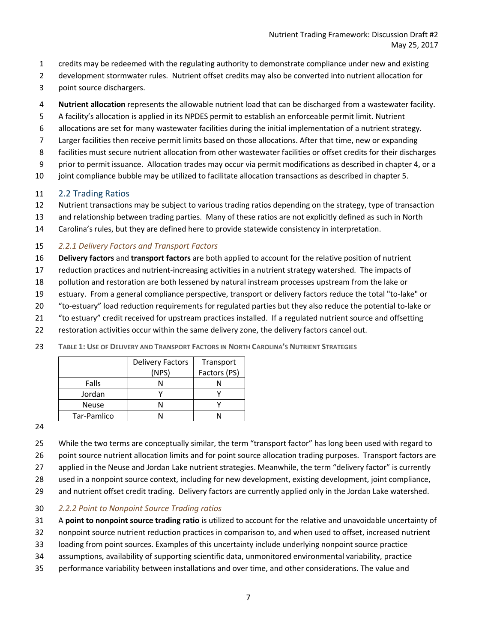- credits may be redeemed with the regulating authority to demonstrate compliance under new and existing
- development stormwater rules. Nutrient offset credits may also be converted into nutrient allocation for
- point source dischargers.
- **Nutrient allocation** represents the allowable nutrient load that can be discharged from a wastewater facility.
- A facility's allocation is applied in its NPDES permit to establish an enforceable permit limit. Nutrient
- allocations are set for many wastewater facilities during the initial implementation of a nutrient strategy.
- Larger facilities then receive permit limits based on those allocations. After that time, new or expanding
- facilities must secure nutrient allocation from other wastewater facilities or offset credits for their discharges
- prior to permit issuance. Allocation trades may occur via permit modifications as described in chapter 4, or a
- joint compliance bubble may be utilized to facilitate allocation transactions as described in chapter 5.

#### <span id="page-7-0"></span>2.2 Trading Ratios

- Nutrient transactions may be subject to various trading ratios depending on the strategy, type of transaction
- and relationship between trading parties. Many of these ratios are not explicitly defined as such in North
- Carolina's rules, but they are defined here to provide statewide consistency in interpretation.

### *2.2.1 Delivery Factors and Transport Factors*

- **Delivery factors** and **transport factors** are both applied to account for the relative position of nutrient
- reduction practices and nutrient-increasing activities in a nutrient strategy watershed. The impacts of
- pollution and restoration are both lessened by natural instream processes upstream from the lake or
- estuary. From a general compliance perspective, transport or delivery factors reduce the total "to-lake" or
- "to-estuary" load reduction requirements for regulated parties but they also reduce the potential to-lake or
- "to estuary" credit received for upstream practices installed. If a regulated nutrient source and offsetting
- restoration activities occur within the same delivery zone, the delivery factors cancel out.

|              | <b>Delivery Factors</b> | Transport    |
|--------------|-------------------------|--------------|
|              | (NPS)                   | Factors (PS) |
| Falls        |                         |              |
| Jordan       |                         |              |
| <b>Neuse</b> |                         |              |
| Tar-Pamlico  |                         |              |

23 TABLE 1: USE OF DELIVERY AND TRANSPORT FACTORS IN NORTH CAROLINA'S NUTRIENT STRATEGIES

#### 

While the two terms are conceptually similar, the term "transport factor" has long been used with regard to

point source nutrient allocation limits and for point source allocation trading purposes. Transport factors are

- applied in the Neuse and Jordan Lake nutrient strategies. Meanwhile, the term "delivery factor" is currently
- used in a nonpoint source context, including for new development, existing development, joint compliance,
- and nutrient offset credit trading. Delivery factors are currently applied only in the Jordan Lake watershed.

### *2.2.2 Point to Nonpoint Source Trading ratios*

- A **point to nonpoint source trading ratio** is utilized to account for the relative and unavoidable uncertainty of
- nonpoint source nutrient reduction practices in comparison to, and when used to offset, increased nutrient
- loading from point sources. Examples of this uncertainty include underlying nonpoint source practice
- assumptions, availability of supporting scientific data, unmonitored environmental variability, practice
- performance variability between installations and over time, and other considerations. The value and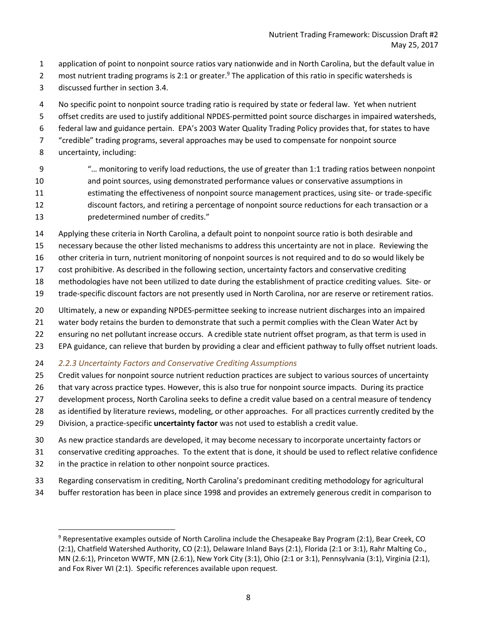- application of point to nonpoint source ratios vary nationwide and in North Carolina, but the default value in
- 2 most nutrient trading programs is 2:1 or greater.<sup>9</sup> The application of this ratio in specific watersheds is
- discussed further in section 3.4.
- No specific point to nonpoint source trading ratio is required by state or federal law. Yet when nutrient
- offset credits are used to justify additional NPDES-permitted point source discharges in impaired watersheds,
- federal law and guidance pertain. EPA's 2003 Water Quality Trading Policy provides that, for states to have
- "credible" trading programs, several approaches may be used to compensate for nonpoint source
- uncertainty, including:

 $\overline{a}$ 

- "… monitoring to verify load reductions, the use of greater than 1:1 trading ratios between nonpoint and point sources, using demonstrated performance values or conservative assumptions in estimating the effectiveness of nonpoint source management practices, using site- or trade-specific discount factors, and retiring a percentage of nonpoint source reductions for each transaction or a predetermined number of credits."
- Applying these criteria in North Carolina, a default point to nonpoint source ratio is both desirable and
- necessary because the other listed mechanisms to address this uncertainty are not in place. Reviewing the
- other criteria in turn, nutrient monitoring of nonpoint sources is not required and to do so would likely be
- cost prohibitive. As described in the following section, uncertainty factors and conservative crediting
- methodologies have not been utilized to date during the establishment of practice crediting values. Site- or
- trade-specific discount factors are not presently used in North Carolina, nor are reserve or retirement ratios.
- Ultimately, a new or expanding NPDES-permittee seeking to increase nutrient discharges into an impaired
- water body retains the burden to demonstrate that such a permit complies with the Clean Water Act by
- ensuring no net pollutant increase occurs. A credible state nutrient offset program, as that term is used in
- EPA guidance, can relieve that burden by providing a clear and efficient pathway to fully offset nutrient loads.

### *2.2.3 Uncertainty Factors and Conservative Crediting Assumptions*

- Credit values for nonpoint source nutrient reduction practices are subject to various sources of uncertainty
- that vary across practice types. However, this is also true for nonpoint source impacts. During its practice
- development process, North Carolina seeks to define a credit value based on a central measure of tendency
- as identified by literature reviews, modeling, or other approaches. For all practices currently credited by the
- Division, a practice-specific **uncertainty factor** was not used to establish a credit value.
- As new practice standards are developed, it may become necessary to incorporate uncertainty factors or
- conservative crediting approaches. To the extent that is done, it should be used to reflect relative confidence
- in the practice in relation to other nonpoint source practices.
- Regarding conservatism in crediting, North Carolina's predominant crediting methodology for agricultural
- buffer restoration has been in place since 1998 and provides an extremely generous credit in comparison to

 Representative examples outside of North Carolina include the Chesapeake Bay Program (2:1), Bear Creek, CO (2:1), Chatfield Watershed Authority, CO (2:1), Delaware Inland Bays (2:1), Florida (2:1 or 3:1), Rahr Malting Co., MN (2.6:1), Princeton WWTF, MN (2.6:1), New York City (3:1), Ohio (2:1 or 3:1), Pennsylvania (3:1), Virginia (2:1), and Fox River WI (2:1). Specific references available upon request.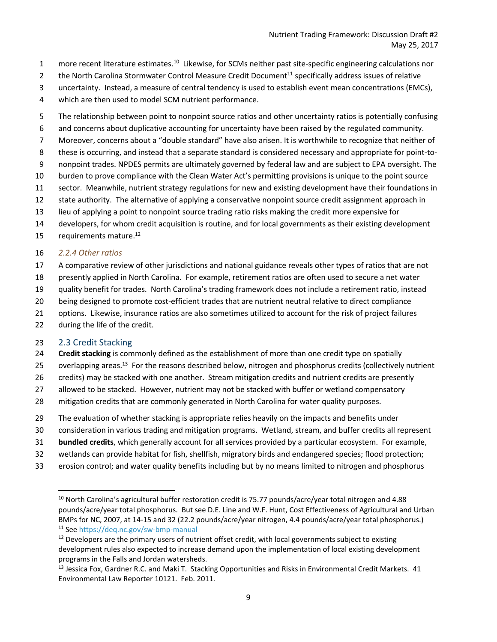- 1 more recent literature estimates.<sup>10</sup> Likewise, for SCMs neither past site-specific engineering calculations nor
- 2 the North Carolina Stormwater Control Measure Credit Document<sup>11</sup> specifically address issues of relative
- uncertainty. Instead, a measure of central tendency is used to establish event mean concentrations (EMCs),
- which are then used to model SCM nutrient performance.
- The relationship between point to nonpoint source ratios and other uncertainty ratios is potentially confusing
- and concerns about duplicative accounting for uncertainty have been raised by the regulated community.
- Moreover, concerns about a "double standard" have also arisen. It is worthwhile to recognize that neither of
- these is occurring, and instead that a separate standard is considered necessary and appropriate for point-to-
- nonpoint trades. NPDES permits are ultimately governed by federal law and are subject to EPA oversight. The
- burden to prove compliance with the Clean Water Act's permitting provisions is unique to the point source
- sector. Meanwhile, nutrient strategy regulations for new and existing development have their foundations in
- state authority. The alternative of applying a conservative nonpoint source credit assignment approach in
- lieu of applying a point to nonpoint source trading ratio risks making the credit more expensive for
- developers, for whom credit acquisition is routine, and for local governments as their existing development
- 15 requirements mature.<sup>12</sup>

#### *2.2.4 Other ratios*

- A comparative review of other jurisdictions and national guidance reveals other types of ratios that are not
- presently applied in North Carolina. For example, retirement ratios are often used to secure a net water
- quality benefit for trades. North Carolina's trading framework does not include a retirement ratio, instead
- being designed to promote cost-efficient trades that are nutrient neutral relative to direct compliance
- options. Likewise, insurance ratios are also sometimes utilized to account for the risk of project failures
- during the life of the credit.

### <span id="page-9-0"></span>2.3 Credit Stacking

l

- **Credit stacking** is commonly defined as the establishment of more than one credit type on spatially
- 25 overlapping areas.<sup>13</sup> For the reasons described below, nitrogen and phosphorus credits (collectively nutrient
- credits) may be stacked with one another. Stream mitigation credits and nutrient credits are presently
- allowed to be stacked. However, nutrient may not be stacked with buffer or wetland compensatory
- mitigation credits that are commonly generated in North Carolina for water quality purposes.
- The evaluation of whether stacking is appropriate relies heavily on the impacts and benefits under
- consideration in various trading and mitigation programs. Wetland, stream, and buffer credits all represent
- **bundled credits**, which generally account for all services provided by a particular ecosystem. For example,
- wetlands can provide habitat for fish, shellfish, migratory birds and endangered species; flood protection;
- erosion control; and water quality benefits including but by no means limited to nitrogen and phosphorus

<sup>&</sup>lt;sup>10</sup> North Carolina's agricultural buffer restoration credit is 75.77 pounds/acre/year total nitrogen and 4.88 pounds/acre/year total phosphorus. But see D.E. Line and W.F. Hunt, Cost Effectiveness of Agricultural and Urban BMPs for NC, 2007, at 14-15 and 32 (22.2 pounds/acre/year nitrogen, 4.4 pounds/acre/year total phosphorus.) Se[e https://deq.nc.gov/sw-bmp-manual](https://deq.nc.gov/sw-bmp-manual)

 Developers are the primary users of nutrient offset credit, with local governments subject to existing development rules also expected to increase demand upon the implementation of local existing development programs in the Falls and Jordan watersheds.

 Jessica Fox, Gardner R.C. and Maki T. Stacking Opportunities and Risks in Environmental Credit Markets. 41 Environmental Law Reporter 10121. Feb. 2011.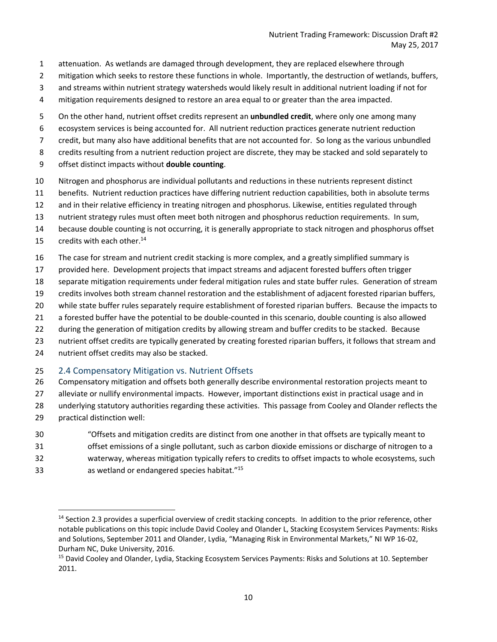- attenuation. As wetlands are damaged through development, they are replaced elsewhere through
- 2 mitigation which seeks to restore these functions in whole. Importantly, the destruction of wetlands, buffers,
- and streams within nutrient strategy watersheds would likely result in additional nutrient loading if not for
- mitigation requirements designed to restore an area equal to or greater than the area impacted.
- On the other hand, nutrient offset credits represent an **unbundled credit**, where only one among many
- ecosystem services is being accounted for. All nutrient reduction practices generate nutrient reduction
- credit, but many also have additional benefits that are not accounted for. So long as the various unbundled
- credits resulting from a nutrient reduction project are discrete, they may be stacked and sold separately to
- offset distinct impacts without **double counting**.
- Nitrogen and phosphorus are individual pollutants and reductions in these nutrients represent distinct
- benefits. Nutrient reduction practices have differing nutrient reduction capabilities, both in absolute terms
- and in their relative efficiency in treating nitrogen and phosphorus. Likewise, entities regulated through
- nutrient strategy rules must often meet both nitrogen and phosphorus reduction requirements. In sum,
- because double counting is not occurring, it is generally appropriate to stack nitrogen and phosphorus offset
- 15  $\cdot$  credits with each other.<sup>14</sup>
- The case for stream and nutrient credit stacking is more complex, and a greatly simplified summary is
- provided here. Development projects that impact streams and adjacent forested buffers often trigger
- separate mitigation requirements under federal mitigation rules and state buffer rules. Generation of stream
- credits involves both stream channel restoration and the establishment of adjacent forested riparian buffers,
- while state buffer rules separately require establishment of forested riparian buffers. Because the impacts to
- a forested buffer have the potential to be double-counted in this scenario, double counting is also allowed
- during the generation of mitigation credits by allowing stream and buffer credits to be stacked. Because
- nutrient offset credits are typically generated by creating forested riparian buffers, it follows that stream and
- nutrient offset credits may also be stacked.

### <span id="page-10-0"></span>25 2.4 Compensatory Mitigation vs. Nutrient Offsets

- Compensatory mitigation and offsets both generally describe environmental restoration projects meant to
- alleviate or nullify environmental impacts. However, important distinctions exist in practical usage and in
- underlying statutory authorities regarding these activities. This passage from Cooley and Olander reflects the
- practical distinction well:

- "Offsets and mitigation credits are distinct from one another in that offsets are typically meant to
- offset emissions of a single pollutant, such as carbon dioxide emissions or discharge of nitrogen to a
- waterway, whereas mitigation typically refers to credits to offset impacts to whole ecosystems, such
- as wetland or endangered species habitat."<sup>15</sup>

 Section 2.3 provides a superficial overview of credit stacking concepts. In addition to the prior reference, other notable publications on this topic include David Cooley and Olander L, Stacking Ecosystem Services Payments: Risks and Solutions, September 2011 and Olander, Lydia, "Managing Risk in Environmental Markets," NI WP 16-02, Durham NC, Duke University, 2016.

 David Cooley and Olander, Lydia, Stacking Ecosystem Services Payments: Risks and Solutions at 10. September 2011.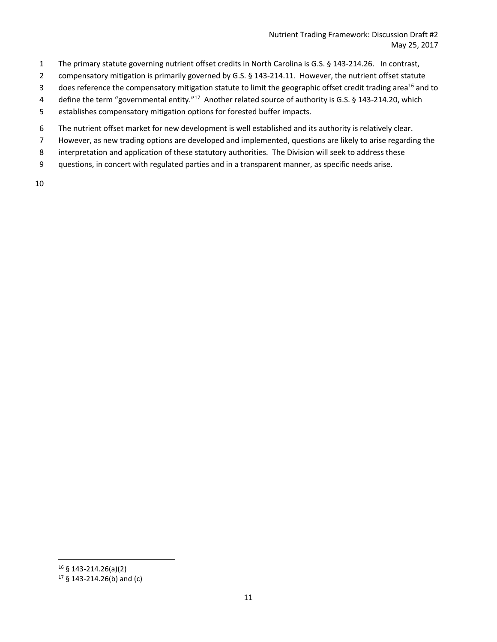- The primary statute governing nutrient offset credits in North Carolina is G.S. § 143-214.26. In contrast,
- compensatory mitigation is primarily governed by G.S. § 143-214.11. However, the nutrient offset statute
- 3 does reference the compensatory mitigation statute to limit the geographic offset credit trading area<sup>16</sup> and to
- 4 define the term "governmental entity."<sup>17</sup> Another related source of authority is G.S. § 143-214.20, which
- establishes compensatory mitigation options for forested buffer impacts.
- The nutrient offset market for new development is well established and its authority is relatively clear.
- However, as new trading options are developed and implemented, questions are likely to arise regarding the
- interpretation and application of these statutory authorities. The Division will seek to address these
- questions, in concert with regulated parties and in a transparent manner, as specific needs arise.

l

 $16 \S 143 - 214.26(a)(2)$ § 143-214.26(b) and (c)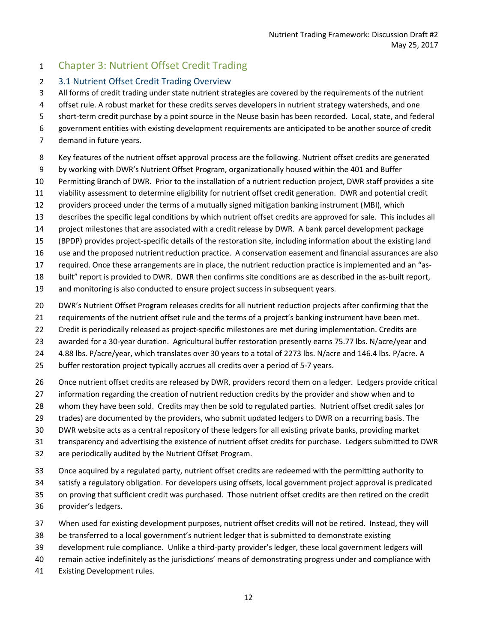# <span id="page-12-0"></span>Chapter 3: Nutrient Offset Credit Trading

## <span id="page-12-1"></span>3.1 Nutrient Offset Credit Trading Overview

- All forms of credit trading under state nutrient strategies are covered by the requirements of the nutrient
- offset rule. A robust market for these credits serves developers in nutrient strategy watersheds, and one
- short-term credit purchase by a point source in the Neuse basin has been recorded. Local, state, and federal
- government entities with existing development requirements are anticipated to be another source of credit
- demand in future years.
- Key features of the nutrient offset approval process are the following. Nutrient offset credits are generated
- by working with DWR's Nutrient Offset Program, organizationally housed within the 401 and Buffer
- Permitting Branch of DWR. Prior to the installation of a nutrient reduction project, DWR staff provides a site
- viability assessment to determine eligibility for nutrient offset credit generation. DWR and potential credit
- providers proceed under the terms of a mutually signed mitigation banking instrument (MBI), which
- describes the specific legal conditions by which nutrient offset credits are approved for sale. This includes all
- project milestones that are associated with a credit release by DWR. A bank parcel development package
- (BPDP) provides project-specific details of the restoration site, including information about the existing land
- use and the proposed nutrient reduction practice. A conservation easement and financial assurances are also
- required. Once these arrangements are in place, the nutrient reduction practice is implemented and an "as-
- built" report is provided to DWR. DWR then confirms site conditions are as described in the as-built report,
- and monitoring is also conducted to ensure project success in subsequent years.
- DWR's Nutrient Offset Program releases credits for all nutrient reduction projects after confirming that the
- requirements of the nutrient offset rule and the terms of a project's banking instrument have been met.
- Credit is periodically released as project-specific milestones are met during implementation. Credits are
- awarded for a 30-year duration. Agricultural buffer restoration presently earns 75.77 lbs. N/acre/year and
- 4.88 lbs. P/acre/year, which translates over 30 years to a total of 2273 lbs. N/acre and 146.4 lbs. P/acre. A
- buffer restoration project typically accrues all credits over a period of 5-7 years.
- Once nutrient offset credits are released by DWR, providers record them on a ledger. Ledgers provide critical
- information regarding the creation of nutrient reduction credits by the provider and show when and to
- whom they have been sold. Credits may then be sold to regulated parties. Nutrient offset credit sales (or
- trades) are documented by the providers, who submit updated ledgers to DWR on a recurring basis. The
- DWR website acts as a central repository of these ledgers for all existing private banks, providing market
- transparency and advertising the existence of nutrient offset credits for purchase. Ledgers submitted to DWR
- are periodically audited by the Nutrient Offset Program.
- Once acquired by a regulated party, nutrient offset credits are redeemed with the permitting authority to
- satisfy a regulatory obligation. For developers using offsets, local government project approval is predicated
- on proving that sufficient credit was purchased. Those nutrient offset credits are then retired on the credit provider's ledgers.
- When used for existing development purposes, nutrient offset credits will not be retired. Instead, they will
- be transferred to a local government's nutrient ledger that is submitted to demonstrate existing
- development rule compliance. Unlike a third-party provider's ledger, these local government ledgers will
- remain active indefinitely as the jurisdictions' means of demonstrating progress under and compliance with
- Existing Development rules.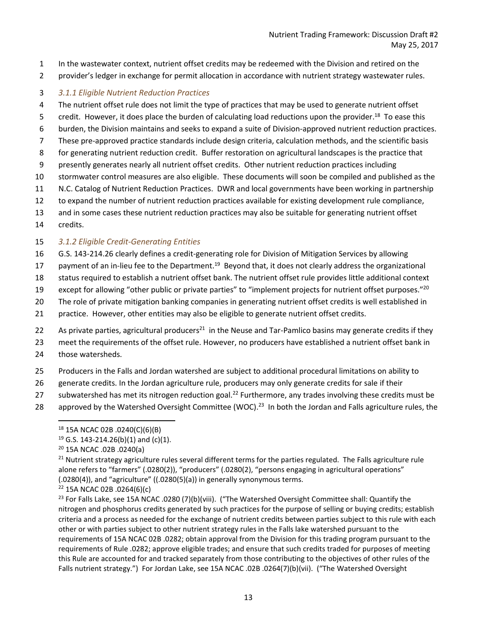- 1 In the wastewater context, nutrient offset credits may be redeemed with the Division and retired on the
- 2 provider's ledger in exchange for permit allocation in accordance with nutrient strategy wastewater rules.

#### 3 *3.1.1 Eligible Nutrient Reduction Practices*

- 4 The nutrient offset rule does not limit the type of practices that may be used to generate nutrient offset
- 5 credit. However, it does place the burden of calculating load reductions upon the provider.<sup>18</sup> To ease this
- 6 burden, the Division maintains and seeks to expand a suite of Division-approved nutrient reduction practices.
- 7 These pre-approved practice standards include design criteria, calculation methods, and the scientific basis
- 8 for generating nutrient reduction credit. Buffer restoration on agricultural landscapes is the practice that
- 9 presently generates nearly all nutrient offset credits. Other nutrient reduction practices including
- 10 stormwater control measures are also eligible. These documents will soon be compiled and published as the
- 11 N.C. Catalog of Nutrient Reduction Practices. DWR and local governments have been working in partnership
- 12 to expand the number of nutrient reduction practices available for existing development rule compliance,
- 13 and in some cases these nutrient reduction practices may also be suitable for generating nutrient offset
- 14 credits.

#### 15 *3.1.2 Eligible Credit-Generating Entities*

- 16 G.S. 143-214.26 clearly defines a credit-generating role for Division of Mitigation Services by allowing
- 17 payment of an in-lieu fee to the Department.<sup>19</sup> Beyond that, it does not clearly address the organizational
- 18 status required to establish a nutrient offset bank. The nutrient offset rule provides little additional context
- 19 except for allowing "other public or private parties" to "implement projects for nutrient offset purposes."20
- 20 The role of private mitigation banking companies in generating nutrient offset credits is well established in
- 21 practice. However, other entities may also be eligible to generate nutrient offset credits.
- 22 As private parties, agricultural producers<sup>21</sup> in the Neuse and Tar-Pamlico basins may generate credits if they
- 23 meet the requirements of the offset rule. However, no producers have established a nutrient offset bank in
- 24 those watersheds.

 $\overline{a}$ 

- 25 Producers in the Falls and Jordan watershed are subject to additional procedural limitations on ability to
- 26 generate credits. In the Jordan agriculture rule, producers may only generate credits for sale if their
- 27 subwatershed has met its nitrogen reduction goal.<sup>22</sup> Furthermore, any trades involving these credits must be
- 28 approved by the Watershed Oversight Committee (WOC).<sup>23</sup> In both the Jordan and Falls agriculture rules, the

<sup>22</sup> 15A NCAC 02B .0264(6)(c)

<sup>18</sup> 15A NCAC 02B .0240(C)(6)(B)

 $19$  G.S. 143-214.26(b)(1) and (c)(1).

<sup>20</sup> 15A NCAC .02B .0240(a)

 $21$  Nutrient strategy agriculture rules several different terms for the parties regulated. The Falls agriculture rule alone refers to "farmers" (.0280(2)), "producers" (.0280(2), "persons engaging in agricultural operations" (.0280(4)), and "agriculture" ((.0280(5)(a)) in generally synonymous terms.

<sup>&</sup>lt;sup>23</sup> For Falls Lake, see 15A NCAC .0280 (7)(b)(viii). ("The Watershed Oversight Committee shall: Quantify the nitrogen and phosphorus credits generated by such practices for the purpose of selling or buying credits; establish criteria and a process as needed for the exchange of nutrient credits between parties subject to this rule with each other or with parties subject to other nutrient strategy rules in the Falls lake watershed pursuant to the requirements of 15A NCAC 02B .0282; obtain approval from the Division for this trading program pursuant to the requirements of Rule .0282; approve eligible trades; and ensure that such credits traded for purposes of meeting this Rule are accounted for and tracked separately from those contributing to the objectives of other rules of the Falls nutrient strategy.") For Jordan Lake, see 15A NCAC .02B .0264(7)(b)(vii). ("The Watershed Oversight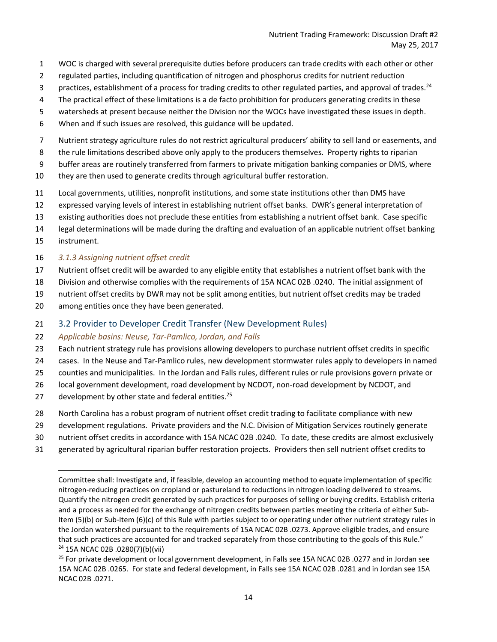- WOC is charged with several prerequisite duties before producers can trade credits with each other or other
- regulated parties, including quantification of nitrogen and phosphorus credits for nutrient reduction
- 3 practices, establishment of a process for trading credits to other regulated parties, and approval of trades.<sup>24</sup>
- The practical effect of these limitations is a de facto prohibition for producers generating credits in these
- watersheds at present because neither the Division nor the WOCs have investigated these issues in depth.
- When and if such issues are resolved, this guidance will be updated.
- Nutrient strategy agriculture rules do not restrict agricultural producers' ability to sell land or easements, and
- 8 the rule limitations described above only apply to the producers themselves. Property rights to riparian
- buffer areas are routinely transferred from farmers to private mitigation banking companies or DMS, where
- they are then used to generate credits through agricultural buffer restoration.
- Local governments, utilities, nonprofit institutions, and some state institutions other than DMS have
- expressed varying levels of interest in establishing nutrient offset banks. DWR's general interpretation of
- existing authorities does not preclude these entities from establishing a nutrient offset bank. Case specific
- legal determinations will be made during the drafting and evaluation of an applicable nutrient offset banking instrument.
- *3.1.3 Assigning nutrient offset credit*
- Nutrient offset credit will be awarded to any eligible entity that establishes a nutrient offset bank with the
- Division and otherwise complies with the requirements of 15A NCAC 02B .0240. The initial assignment of
- nutrient offset credits by DWR may not be split among entities, but nutrient offset credits may be traded
- among entities once they have been generated.
- <span id="page-14-0"></span>3.2 Provider to Developer Credit Transfer (New Development Rules)
- *Applicable basins: Neuse, Tar-Pamlico, Jordan, and Falls*
- Each nutrient strategy rule has provisions allowing developers to purchase nutrient offset credits in specific
- cases. In the Neuse and Tar-Pamlico rules, new development stormwater rules apply to developers in named
- counties and municipalities. In the Jordan and Falls rules, different rules or rule provisions govern private or
- local government development, road development by NCDOT, non-road development by NCDOT, and
- 27 development by other state and federal entities.<sup>25</sup>

- 28 North Carolina has a robust program of nutrient offset credit trading to facilitate compliance with new
- development regulations. Private providers and the N.C. Division of Mitigation Services routinely generate
- nutrient offset credits in accordance with 15A NCAC 02B .0240. To date, these credits are almost exclusively
- generated by agricultural riparian buffer restoration projects. Providers then sell nutrient offset credits to

Committee shall: Investigate and, if feasible, develop an accounting method to equate implementation of specific nitrogen-reducing practices on cropland or pastureland to reductions in nitrogen loading delivered to streams. Quantify the nitrogen credit generated by such practices for purposes of selling or buying credits. Establish criteria and a process as needed for the exchange of nitrogen credits between parties meeting the criteria of either Sub-Item (5)(b) or Sub-Item (6)(c) of this Rule with parties subject to or operating under other nutrient strategy rules in the Jordan watershed pursuant to the requirements of 15A NCAC 02B .0273. Approve eligible trades, and ensure that such practices are accounted for and tracked separately from those contributing to the goals of this Rule." 15A NCAC 02B .0280(7)(b)(vii)

<sup>&</sup>lt;sup>25</sup> For private development or local government development, in Falls see 15A NCAC 02B .0277 and in Jordan see 15A NCAC 02B .0265. For state and federal development, in Falls see 15A NCAC 02B .0281 and in Jordan see 15A NCAC 02B .0271.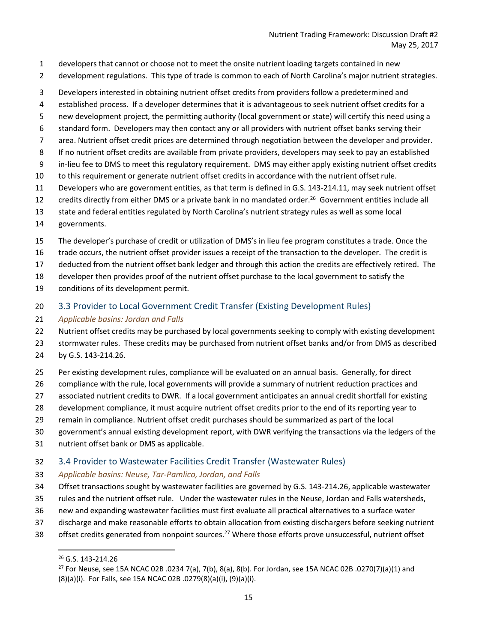- developers that cannot or choose not to meet the onsite nutrient loading targets contained in new
- development regulations. This type of trade is common to each of North Carolina's major nutrient strategies.
- Developers interested in obtaining nutrient offset credits from providers follow a predetermined and
- established process. If a developer determines that it is advantageous to seek nutrient offset credits for a
- new development project, the permitting authority (local government or state) will certify this need using a
- standard form. Developers may then contact any or all providers with nutrient offset banks serving their
- area. Nutrient offset credit prices are determined through negotiation between the developer and provider.
- If no nutrient offset credits are available from private providers, developers may seek to pay an established
- in-lieu fee to DMS to meet this regulatory requirement. DMS may either apply existing nutrient offset credits
- to this requirement or generate nutrient offset credits in accordance with the nutrient offset rule.
- Developers who are government entities, as that term is defined in G.S. 143-214.11, may seek nutrient offset
- 12 credits directly from either DMS or a private bank in no mandated order.<sup>26</sup> Government entities include all
- state and federal entities regulated by North Carolina's nutrient strategy rules as well as some local
- governments.
- The developer's purchase of credit or utilization of DMS's in lieu fee program constitutes a trade. Once the
- trade occurs, the nutrient offset provider issues a receipt of the transaction to the developer. The credit is
- deducted from the nutrient offset bank ledger and through this action the credits are effectively retired. The
- developer then provides proof of the nutrient offset purchase to the local government to satisfy the
- conditions of its development permit.
- <span id="page-15-0"></span>3.3 Provider to Local Government Credit Transfer (Existing Development Rules)
- *Applicable basins: Jordan and Falls*
- Nutrient offset credits may be purchased by local governments seeking to comply with existing development
- stormwater rules. These credits may be purchased from nutrient offset banks and/or from DMS as described
- by G.S. 143-214.26.
- Per existing development rules, compliance will be evaluated on an annual basis. Generally, for direct
- compliance with the rule, local governments will provide a summary of nutrient reduction practices and
- associated nutrient credits to DWR. If a local government anticipates an annual credit shortfall for existing
- development compliance, it must acquire nutrient offset credits prior to the end of its reporting year to
- remain in compliance. Nutrient offset credit purchases should be summarized as part of the local
- government's annual existing development report, with DWR verifying the transactions via the ledgers of the
- nutrient offset bank or DMS as applicable.

### <span id="page-15-1"></span>3.4 Provider to Wastewater Facilities Credit Transfer (Wastewater Rules)

#### *Applicable basins: Neuse, Tar-Pamlico, Jordan, and Falls*

- Offset transactions sought by wastewater facilities are governed by G.S. 143-214.26, applicable wastewater
- rules and the nutrient offset rule. Under the wastewater rules in the Neuse, Jordan and Falls watersheds,
- new and expanding wastewater facilities must first evaluate all practical alternatives to a surface water
- discharge and make reasonable efforts to obtain allocation from existing dischargers before seeking nutrient
- 38 offset credits generated from nonpoint sources.<sup>27</sup> Where those efforts prove unsuccessful, nutrient offset

<sup>&</sup>lt;sup>26</sup> G.S. 143-214.26

<sup>&</sup>lt;sup>27</sup> For Neuse, see 15A NCAC 02B .0234 7(a), 7(b), 8(a), 8(b). For Jordan, see 15A NCAC 02B .0270(7)(a)(1) and (8)(a)(i). For Falls, see 15A NCAC 02B .0279(8)(a)(i), (9)(a)(i).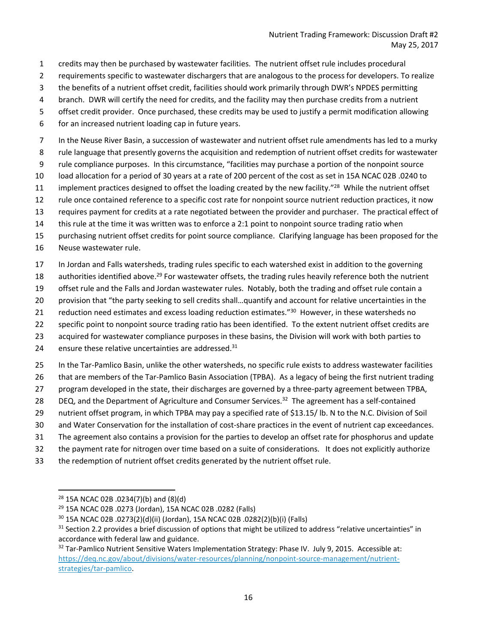- credits may then be purchased by wastewater facilities. The nutrient offset rule includes procedural
- requirements specific to wastewater dischargers that are analogous to the process for developers. To realize
- the benefits of a nutrient offset credit, facilities should work primarily through DWR's NPDES permitting
- branch. DWR will certify the need for credits, and the facility may then purchase credits from a nutrient
- offset credit provider. Once purchased, these credits may be used to justify a permit modification allowing
- for an increased nutrient loading cap in future years.
- In the Neuse River Basin, a succession of wastewater and nutrient offset rule amendments has led to a murky
- rule language that presently governs the acquisition and redemption of nutrient offset credits for wastewater
- rule compliance purposes. In this circumstance, "facilities may purchase a portion of the nonpoint source
- load allocation for a period of 30 years at a rate of 200 percent of the cost as set in 15A NCAC 02B .0240 to
- 11 implement practices designed to offset the loading created by the new facility."<sup>28</sup> While the nutrient offset
- 12 rule once contained reference to a specific cost rate for nonpoint source nutrient reduction practices, it now
- requires payment for credits at a rate negotiated between the provider and purchaser. The practical effect of
- this rule at the time it was written was to enforce a 2:1 point to nonpoint source trading ratio when
- purchasing nutrient offset credits for point source compliance. Clarifying language has been proposed for the
- Neuse wastewater rule.
- In Jordan and Falls watersheds, trading rules specific to each watershed exist in addition to the governing
- 18 authorities identified above.<sup>29</sup> For wastewater offsets, the trading rules heavily reference both the nutrient
- offset rule and the Falls and Jordan wastewater rules. Notably, both the trading and offset rule contain a
- 20 provision that "the party seeking to sell credits shall...quantify and account for relative uncertainties in the
- 21 reduction need estimates and excess loading reduction estimates."<sup>30</sup> However, in these watersheds no
- 22 specific point to nonpoint source trading ratio has been identified. To the extent nutrient offset credits are
- acquired for wastewater compliance purposes in these basins, the Division will work with both parties to
- 24 ensure these relative uncertainties are addressed.
- 25 In the Tar-Pamlico Basin, unlike the other watersheds, no specific rule exists to address wastewater facilities
- that are members of the Tar-Pamlico Basin Association (TPBA). As a legacy of being the first nutrient trading
- program developed in the state, their discharges are governed by a three-party agreement between TPBA,
- 28 DEQ, and the Department of Agriculture and Consumer Services.<sup>32</sup> The agreement has a self-contained
- nutrient offset program, in which TPBA may pay a specified rate of \$13.15/ lb. N to the N.C. Division of Soil
- and Water Conservation for the installation of cost-share practices in the event of nutrient cap exceedances.
- The agreement also contains a provision for the parties to develop an offset rate for phosphorus and update
- the payment rate for nitrogen over time based on a suite of considerations. It does not explicitly authorize
- the redemption of nutrient offset credits generated by the nutrient offset rule.

15A NCAC 02B .0234(7)(b) and (8)(d)

15A NCAC 02B .0273 (Jordan), 15A NCAC 02B .0282 (Falls)

15A NCAC 02B .0273(2)(d)(ii) (Jordan), 15A NCAC 02B .0282(2)(b)(i) (Falls)

 Section 2.2 provides a brief discussion of options that might be utilized to address "relative uncertainties" in accordance with federal law and guidance.

<sup>&</sup>lt;sup>32</sup> Tar-Pamlico Nutrient Sensitive Waters Implementation Strategy: Phase IV. July 9, 2015. Accessible at: [https://deq.nc.gov/about/divisions/water-resources/planning/nonpoint-source-management/nutrient](https://deq.nc.gov/about/divisions/water-resources/planning/nonpoint-source-management/nutrient-strategies/tar-pamlico)[strategies/tar-pamlico.](https://deq.nc.gov/about/divisions/water-resources/planning/nonpoint-source-management/nutrient-strategies/tar-pamlico)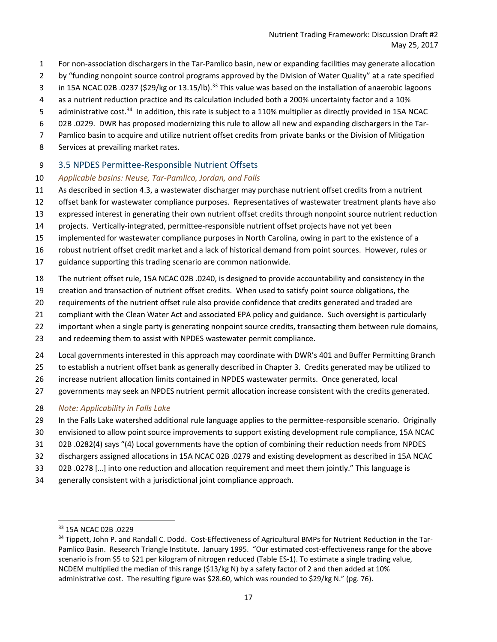- For non-association dischargers in the Tar-Pamlico basin, new or expanding facilities may generate allocation
- by "funding nonpoint source control programs approved by the Division of Water Quality" at a rate specified
- 3 in 15A NCAC 02B .0237 (\$29/kg or 13.15/lb).<sup>33</sup> This value was based on the installation of anaerobic lagoons
- as a nutrient reduction practice and its calculation included both a 200% uncertainty factor and a 10%
- 5 administrative cost.<sup>34</sup> In addition, this rate is subject to a 110% multiplier as directly provided in 15A NCAC
- 02B .0229. DWR has proposed modernizing this rule to allow all new and expanding dischargers in the Tar-
- Pamlico basin to acquire and utilize nutrient offset credits from private banks or the Division of Mitigation
- Services at prevailing market rates.

## <span id="page-17-0"></span>3.5 NPDES Permittee-Responsible Nutrient Offsets

## *Applicable basins: Neuse, Tar-Pamlico, Jordan, and Falls*

- As described in section 4.3, a wastewater discharger may purchase nutrient offset credits from a nutrient
- offset bank for wastewater compliance purposes. Representatives of wastewater treatment plants have also
- expressed interest in generating their own nutrient offset credits through nonpoint source nutrient reduction
- projects. Vertically-integrated, permittee-responsible nutrient offset projects have not yet been
- implemented for wastewater compliance purposes in North Carolina, owing in part to the existence of a
- robust nutrient offset credit market and a lack of historical demand from point sources. However, rules or
- guidance supporting this trading scenario are common nationwide.
- The nutrient offset rule, 15A NCAC 02B .0240, is designed to provide accountability and consistency in the
- creation and transaction of nutrient offset credits. When used to satisfy point source obligations, the
- requirements of the nutrient offset rule also provide confidence that credits generated and traded are
- compliant with the Clean Water Act and associated EPA policy and guidance. Such oversight is particularly
- important when a single party is generating nonpoint source credits, transacting them between rule domains,
- and redeeming them to assist with NPDES wastewater permit compliance.
- Local governments interested in this approach may coordinate with DWR's 401 and Buffer Permitting Branch
- to establish a nutrient offset bank as generally described in Chapter 3. Credits generated may be utilized to
- increase nutrient allocation limits contained in NPDES wastewater permits. Once generated, local
- governments may seek an NPDES nutrient permit allocation increase consistent with the credits generated.

## *Note: Applicability in Falls Lake*

- 29 In the Falls Lake watershed additional rule language applies to the permittee-responsible scenario. Originally
- envisioned to allow point source improvements to support existing development rule compliance, 15A NCAC
- 02B .0282(4) says "(4) Local governments have the option of combining their reduction needs from NPDES
- dischargers assigned allocations in 15A NCAC 02B .0279 and existing development as described in 15A NCAC
- 02B .0278 […] into one reduction and allocation requirement and meet them jointly." This language is
- generally consistent with a jurisdictional joint compliance approach.

15A NCAC 02B .0229

<sup>&</sup>lt;sup>34</sup> Tippett, John P. and Randall C. Dodd. Cost-Effectiveness of Agricultural BMPs for Nutrient Reduction in the Tar-Pamlico Basin. Research Triangle Institute. January 1995. "Our estimated cost-effectiveness range for the above scenario is from \$5 to \$21 per kilogram of nitrogen reduced (Table ES-1). To estimate a single trading value, NCDEM multiplied the median of this range (\$13/kg N) by a safety factor of 2 and then added at 10% administrative cost. The resulting figure was \$28.60, which was rounded to \$29/kg N." (pg. 76).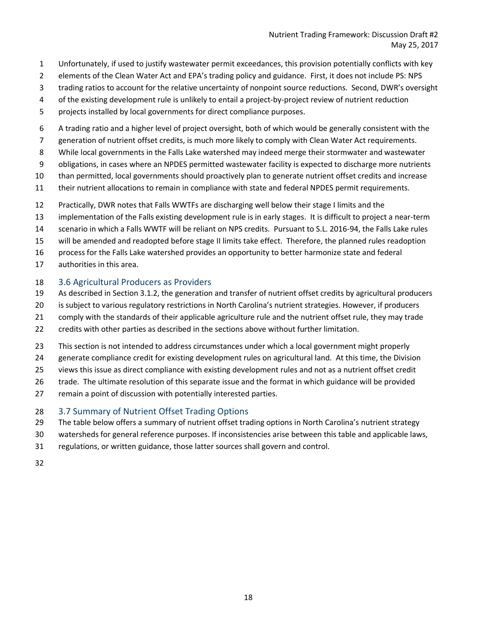- Unfortunately, if used to justify wastewater permit exceedances, this provision potentially conflicts with key
- elements of the Clean Water Act and EPA's trading policy and guidance. First, it does not include PS: NPS
- trading ratios to account for the relative uncertainty of nonpoint source reductions. Second, DWR's oversight
- of the existing development rule is unlikely to entail a project-by-project review of nutrient reduction
- projects installed by local governments for direct compliance purposes.
- A trading ratio and a higher level of project oversight, both of which would be generally consistent with the
- generation of nutrient offset credits, is much more likely to comply with Clean Water Act requirements.
- While local governments in the Falls Lake watershed may indeed merge their stormwater and wastewater
- obligations, in cases where an NPDES permitted wastewater facility is expected to discharge more nutrients
- than permitted, local governments should proactively plan to generate nutrient offset credits and increase
- their nutrient allocations to remain in compliance with state and federal NPDES permit requirements.
- Practically, DWR notes that Falls WWTFs are discharging well below their stage I limits and the
- implementation of the Falls existing development rule is in early stages. It is difficult to project a near-term
- scenario in which a Falls WWTF will be reliant on NPS credits. Pursuant to S.L. 2016-94, the Falls Lake rules
- will be amended and readopted before stage II limits take effect. Therefore, the planned rules readoption
- process for the Falls Lake watershed provides an opportunity to better harmonize state and federal
- authorities in this area.

### <span id="page-18-0"></span>3.6 Agricultural Producers as Providers

- As described in Section 3.1.2, the generation and transfer of nutrient offset credits by agricultural producers
- is subject to various regulatory restrictions in North Carolina's nutrient strategies. However, if producers
- comply with the standards of their applicable agriculture rule and the nutrient offset rule, they may trade
- credits with other parties as described in the sections above without further limitation.
- This section is not intended to address circumstances under which a local government might properly
- generate compliance credit for existing development rules on agricultural land. At this time, the Division
- views this issue as direct compliance with existing development rules and not as a nutrient offset credit
- trade. The ultimate resolution of this separate issue and the format in which guidance will be provided
- 27 remain a point of discussion with potentially interested parties.

## <span id="page-18-1"></span>3.7 Summary of Nutrient Offset Trading Options

- The table below offers a summary of nutrient offset trading options in North Carolina's nutrient strategy
- watersheds for general reference purposes. If inconsistencies arise between this table and applicable laws,
- regulations, or written guidance, those latter sources shall govern and control.
-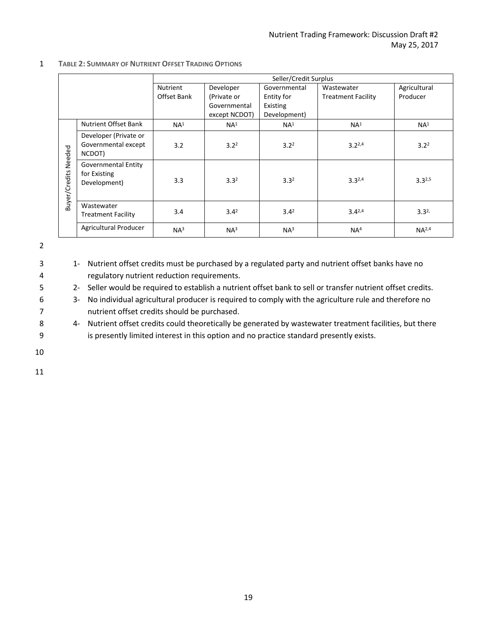#### 1 **TABLE 2: SUMMARY OF NUTRIENT OFFSET TRADINGOPTIONS**

|               |                                                        | Seller/Credit Surplus |                  |                  |                           |                   |
|---------------|--------------------------------------------------------|-----------------------|------------------|------------------|---------------------------|-------------------|
|               |                                                        | Nutrient              | Developer        | Governmental     | Wastewater                | Agricultural      |
|               |                                                        | Offset Bank           | (Private or      | Entity for       | <b>Treatment Facility</b> | Producer          |
|               |                                                        |                       | Governmental     | Existing         |                           |                   |
|               |                                                        |                       | except NCDOT)    | Development)     |                           |                   |
|               | <b>Nutrient Offset Bank</b>                            | NA <sup>1</sup>       | NA <sup>1</sup>  | NA <sup>1</sup>  | NA <sup>1</sup>           | NA <sup>1</sup>   |
| Needed        | Developer (Private or<br>Governmental except<br>NCDOT) | 3.2                   | 3.2 <sup>2</sup> | 3.2 <sup>2</sup> | $3.2^{2,4}$               | $3.2^2$           |
| Buyer/Credits | Governmental Entity<br>for Existing<br>Development)    | 3.3                   | 3.3 <sup>2</sup> | 3.3 <sup>2</sup> | $3.3^{2,4}$               | $3.3^{2,5}$       |
|               | Wastewater<br><b>Treatment Facility</b>                | 3.4                   | 3.4 <sup>2</sup> | $3.4^{2}$        | $3.4^{2,4}$               | $3.3^{2}$         |
|               | Agricultural Producer                                  | NA <sup>3</sup>       | NA <sup>3</sup>  | NA <sup>3</sup>  | NA <sup>4</sup>           | NA <sup>2,4</sup> |

2

3 1- Nutrient offset credits must be purchased by a regulated party and nutrient offset banks have no 4 regulatory nutrient reduction requirements.

5 2- Seller would be required to establish a nutrient offset bank to sell or transfer nutrient offset credits.

6 3- No individual agricultural producer is required to comply with the agriculture rule and therefore no 7 nutrient offset credits should be purchased.

8 4- Nutrient offset credits could theoretically be generated by wastewater treatment facilities, but there 9 is presently limited interest in this option and no practice standard presently exists.

10

11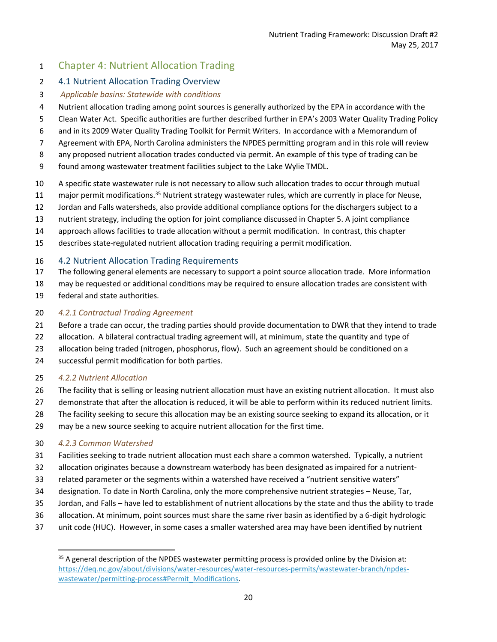# <span id="page-20-0"></span>Chapter 4: Nutrient Allocation Trading

## <span id="page-20-1"></span>4.1 Nutrient Allocation Trading Overview

#### *Applicable basins: Statewide with conditions*

- Nutrient allocation trading among point sources is generally authorized by the EPA in accordance with the
- Clean Water Act. Specific authorities are further described further in EPA's 2003 Water Quality Trading Policy
- and in its 2009 Water Quality Trading Toolkit for Permit Writers. In accordance with a Memorandum of
- Agreement with EPA, North Carolina administers the NPDES permitting program and in this role will review
- any proposed nutrient allocation trades conducted via permit. An example of this type of trading can be
- found among wastewater treatment facilities subject to the Lake Wylie TMDL.
- A specific state wastewater rule is not necessary to allow such allocation trades to occur through mutual
- 11 major permit modifications.<sup>35</sup> Nutrient strategy wastewater rules, which are currently in place for Neuse,
- Jordan and Falls watersheds, also provide additional compliance options for the dischargers subject to a
- nutrient strategy, including the option for joint compliance discussed in Chapter 5. A joint compliance
- approach allows facilities to trade allocation without a permit modification. In contrast, this chapter
- describes state-regulated nutrient allocation trading requiring a permit modification.

#### <span id="page-20-2"></span>4.2 Nutrient Allocation Trading Requirements

- The following general elements are necessary to support a point source allocation trade. More information
- may be requested or additional conditions may be required to ensure allocation trades are consistent with
- federal and state authorities.

#### *4.2.1 Contractual Trading Agreement*

- Before a trade can occur, the trading parties should provide documentation to DWR that they intend to trade
- allocation. A bilateral contractual trading agreement will, at minimum, state the quantity and type of
- allocation being traded (nitrogen, phosphorus, flow). Such an agreement should be conditioned on a
- successful permit modification for both parties.

#### *4.2.2 Nutrient Allocation*

- The facility that is selling or leasing nutrient allocation must have an existing nutrient allocation. It must also
- demonstrate that after the allocation is reduced, it will be able to perform within its reduced nutrient limits.
- The facility seeking to secure this allocation may be an existing source seeking to expand its allocation, or it
- may be a new source seeking to acquire nutrient allocation for the first time.

### *4.2.3 Common Watershed*

- Facilities seeking to trade nutrient allocation must each share a common watershed. Typically, a nutrient
- allocation originates because a downstream waterbody has been designated as impaired for a nutrient-
- related parameter or the segments within a watershed have received a "nutrient sensitive waters"
- designation. To date in North Carolina, only the more comprehensive nutrient strategies Neuse, Tar,
- Jordan, and Falls have led to establishment of nutrient allocations by the state and thus the ability to trade
- allocation. At minimum, point sources must share the same river basin as identified by a 6-digit hydrologic
- unit code (HUC). However, in some cases a smaller watershed area may have been identified by nutrient

 $\overline{a}$  A general description of the NPDES wastewater permitting process is provided online by the Division at: [https://deq.nc.gov/about/divisions/water-resources/water-resources-permits/wastewater-branch/npdes](https://deq.nc.gov/about/divisions/water-resources/water-resources-permits/wastewater-branch/npdes-wastewater/permitting-process#Permit_Modifications)[wastewater/permitting-process#Permit\\_Modifications.](https://deq.nc.gov/about/divisions/water-resources/water-resources-permits/wastewater-branch/npdes-wastewater/permitting-process#Permit_Modifications)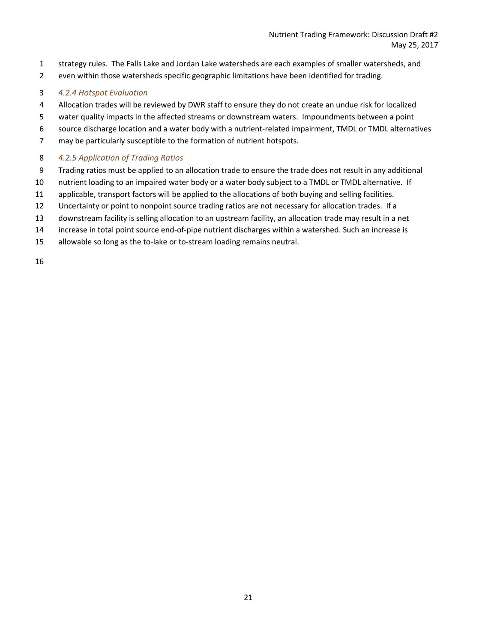- strategy rules. The Falls Lake and Jordan Lake watersheds are each examples of smaller watersheds, and
- even within those watersheds specific geographic limitations have been identified for trading.
- *4.2.4 Hotspot Evaluation*
- Allocation trades will be reviewed by DWR staff to ensure they do not create an undue risk for localized
- water quality impacts in the affected streams or downstream waters. Impoundments between a point
- source discharge location and a water body with a nutrient-related impairment, TMDL or TMDL alternatives
- may be particularly susceptible to the formation of nutrient hotspots.

## *4.2.5 Application of Trading Ratios*

- Trading ratios must be applied to an allocation trade to ensure the trade does not result in any additional
- nutrient loading to an impaired water body or a water body subject to a TMDL or TMDL alternative. If
- applicable, transport factors will be applied to the allocations of both buying and selling facilities.
- Uncertainty or point to nonpoint source trading ratios are not necessary for allocation trades. If a
- downstream facility is selling allocation to an upstream facility, an allocation trade may result in a net
- increase in total point source end-of-pipe nutrient discharges within a watershed. Such an increase is
- allowable so long as the to-lake or to-stream loading remains neutral.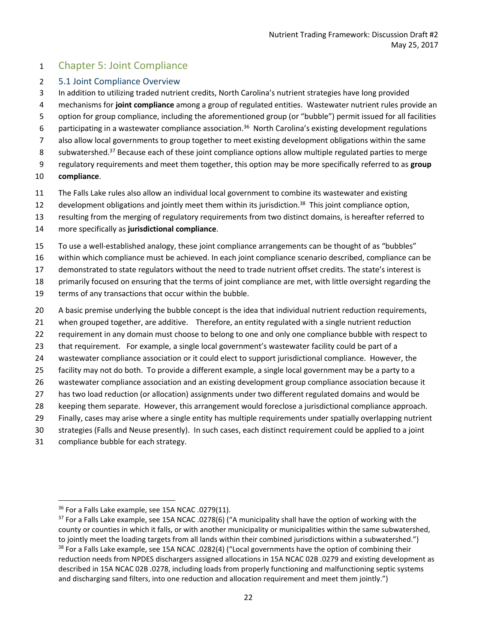# <span id="page-22-0"></span>Chapter 5: Joint Compliance

#### <span id="page-22-1"></span>5.1 Joint Compliance Overview

- In addition to utilizing traded nutrient credits, North Carolina's nutrient strategies have long provided
- mechanisms for **joint compliance** among a group of regulated entities. Wastewater nutrient rules provide an
- option for group compliance, including the aforementioned group (or "bubble") permit issued for all facilities
- 6 participating in a wastewater compliance association.<sup>36</sup> North Carolina's existing development regulations
- also allow local governments to group together to meet existing development obligations within the same
- 8 subwatershed.<sup>37</sup> Because each of these joint compliance options allow multiple regulated parties to merge
- regulatory requirements and meet them together, this option may be more specifically referred to as **group**
- **compliance**.
- The Falls Lake rules also allow an individual local government to combine its wastewater and existing
- 12 development obligations and jointly meet them within its jurisdiction.<sup>38</sup> This joint compliance option,
- resulting from the merging of regulatory requirements from two distinct domains, is hereafter referred to
- more specifically as **jurisdictional compliance**.
- To use a well-established analogy, these joint compliance arrangements can be thought of as "bubbles"
- within which compliance must be achieved. In each joint compliance scenario described, compliance can be
- demonstrated to state regulators without the need to trade nutrient offset credits. The state's interest is
- primarily focused on ensuring that the terms of joint compliance are met, with little oversight regarding the
- terms of any transactions that occur within the bubble.
- A basic premise underlying the bubble concept is the idea that individual nutrient reduction requirements,
- when grouped together, are additive. Therefore, an entity regulated with a single nutrient reduction
- requirement in any domain must choose to belong to one and only one compliance bubble with respect to
- that requirement. For example, a single local government's wastewater facility could be part of a
- wastewater compliance association or it could elect to support jurisdictional compliance. However, the
- facility may not do both. To provide a different example, a single local government may be a party to a
- wastewater compliance association and an existing development group compliance association because it
- has two load reduction (or allocation) assignments under two different regulated domains and would be
- keeping them separate. However, this arrangement would foreclose a jurisdictional compliance approach.
- Finally, cases may arise where a single entity has multiple requirements under spatially overlapping nutrient
- strategies (Falls and Neuse presently). In such cases, each distinct requirement could be applied to a joint
- compliance bubble for each strategy.

<sup>&</sup>lt;sup>36</sup> For a Falls Lake example, see 15A NCAC .0279(11).

<sup>&</sup>lt;sup>37</sup> For a Falls Lake example, see 15A NCAC .0278(6) ("A municipality shall have the option of working with the county or counties in which it falls, or with another municipality or municipalities within the same subwatershed, to jointly meet the loading targets from all lands within their combined jurisdictions within a subwatershed.") <sup>38</sup> For a Falls Lake example, see 15A NCAC .0282(4) ("Local governments have the option of combining their reduction needs from NPDES dischargers assigned allocations in 15A NCAC 02B .0279 and existing development as described in 15A NCAC 02B .0278, including loads from properly functioning and malfunctioning septic systems and discharging sand filters, into one reduction and allocation requirement and meet them jointly.")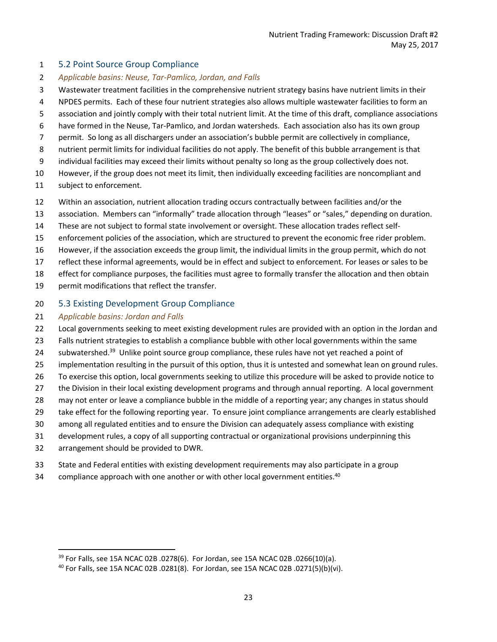#### <span id="page-23-0"></span>5.2 Point Source Group Compliance

#### *Applicable basins: Neuse, Tar-Pamlico, Jordan, and Falls*

- Wastewater treatment facilities in the comprehensive nutrient strategy basins have nutrient limits in their
- NPDES permits. Each of these four nutrient strategies also allows multiple wastewater facilities to form an
- association and jointly comply with their total nutrient limit. At the time of this draft, compliance associations
- have formed in the Neuse, Tar-Pamlico, and Jordan watersheds. Each association also has its own group
- permit. So long as all dischargers under an association's bubble permit are collectively in compliance,
- nutrient permit limits for individual facilities do not apply. The benefit of this bubble arrangement is that
- individual facilities may exceed their limits without penalty so long as the group collectively does not.
- However, if the group does not meet its limit, then individually exceeding facilities are noncompliant and
- subject to enforcement.
- Within an association, nutrient allocation trading occurs contractually between facilities and/or the
- association. Members can "informally" trade allocation through "leases" or "sales," depending on duration.
- These are not subject to formal state involvement or oversight. These allocation trades reflect self-
- enforcement policies of the association, which are structured to prevent the economic free rider problem.
- However, if the association exceeds the group limit, the individual limits in the group permit, which do not
- reflect these informal agreements, would be in effect and subject to enforcement. For leases or sales to be
- effect for compliance purposes, the facilities must agree to formally transfer the allocation and then obtain
- permit modifications that reflect the transfer.

### <span id="page-23-1"></span>5.3 Existing Development Group Compliance

#### *Applicable basins: Jordan and Falls*

- Local governments seeking to meet existing development rules are provided with an option in the Jordan and
- Falls nutrient strategies to establish a compliance bubble with other local governments within the same
- 24 subwatershed.<sup>39</sup> Unlike point source group compliance, these rules have not yet reached a point of
- implementation resulting in the pursuit of this option, thus it is untested and somewhat lean on ground rules.
- To exercise this option, local governments seeking to utilize this procedure will be asked to provide notice to
- the Division in their local existing development programs and through annual reporting. A local government
- may not enter or leave a compliance bubble in the middle of a reporting year; any changes in status should
- take effect for the following reporting year. To ensure joint compliance arrangements are clearly established
- among all regulated entities and to ensure the Division can adequately assess compliance with existing
- development rules, a copy of all supporting contractual or organizational provisions underpinning this
- arrangement should be provided to DWR.

- State and Federal entities with existing development requirements may also participate in a group
- 34 compliance approach with one another or with other local government entities. $40^{\circ}$

For Falls, see 15A NCAC 02B .0278(6). For Jordan, see 15A NCAC 02B .0266(10)(a).

For Falls, see 15A NCAC 02B .0281(8). For Jordan, see 15A NCAC 02B .0271(5)(b)(vi).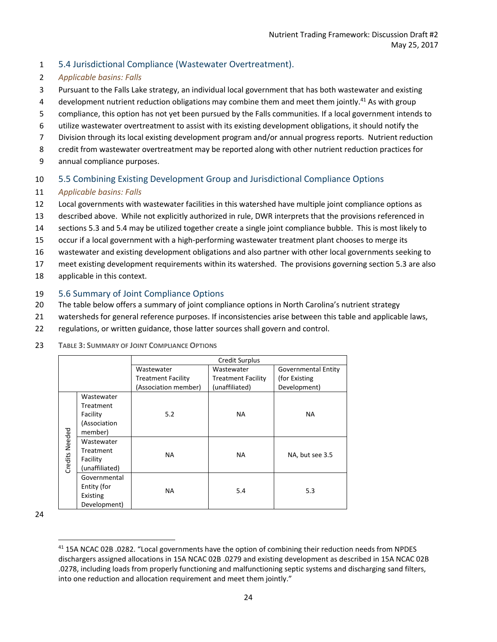## <span id="page-24-0"></span>1 5.4 Jurisdictional Compliance (Wastewater Overtreatment).

- 2 *Applicable basins: Falls*
- 3 Pursuant to the Falls Lake strategy, an individual local government that has both wastewater and existing
- 4 development nutrient reduction obligations may combine them and meet them jointly.<sup>41</sup> As with group
- 5 compliance, this option has not yet been pursued by the Falls communities. If a local government intends to
- 6 utilize wastewater overtreatment to assist with its existing development obligations, it should notify the
- 7 Division through its local existing development program and/or annual progress reports. Nutrient reduction
- 8 credit from wastewater overtreatment may be reported along with other nutrient reduction practices for
- 9 annual compliance purposes.

### <span id="page-24-1"></span>10 5.5 Combining Existing Development Group and Jurisdictional Compliance Options

#### 11 *Applicable basins: Falls*

- 12 Local governments with wastewater facilities in this watershed have multiple joint compliance options as
- 13 described above. While not explicitly authorized in rule, DWR interprets that the provisions referenced in
- 14 sections 5.3 and 5.4 may be utilized together create a single joint compliance bubble. This is most likely to
- 15 occur if a local government with a high-performing wastewater treatment plant chooses to merge its
- 16 wastewater and existing development obligations and also partner with other local governments seeking to
- 17 meet existing development requirements within its watershed. The provisions governing section 5.3 are also
- 18 applicable in this context.

#### <span id="page-24-2"></span>19 5.6 Summary of Joint Compliance Options

- 20 The table below offers a summary of joint compliance options in North Carolina's nutrient strategy
- 21 watersheds for general reference purposes. If inconsistencies arise between this table and applicable laws,
- 22 regulations, or written guidance, those latter sources shall govern and control.
- 23 **TABLE 3: SUMMARY OF JOINT COMPLIANCE OPTIONS**

|                |                | <b>Credit Surplus</b>     |                           |                            |  |  |
|----------------|----------------|---------------------------|---------------------------|----------------------------|--|--|
|                |                | Wastewater                | Wastewater                | <b>Governmental Entity</b> |  |  |
|                |                | <b>Treatment Facility</b> | <b>Treatment Facility</b> | (for Existing)             |  |  |
|                |                | (Association member)      | (unaffiliated)            | Development)               |  |  |
|                | Wastewater     |                           |                           |                            |  |  |
|                | Treatment      |                           | NA.                       | NA.                        |  |  |
|                | Facility       | 5.2                       |                           |                            |  |  |
|                | (Association   |                           |                           |                            |  |  |
|                | member)        |                           |                           |                            |  |  |
| Credits Needed | Wastewater     |                           |                           |                            |  |  |
|                | Treatment      | <b>NA</b>                 | NA.                       | NA, but see 3.5            |  |  |
|                | Facility       |                           |                           |                            |  |  |
|                | (unaffiliated) |                           |                           |                            |  |  |
|                | Governmental   |                           |                           |                            |  |  |
|                | Entity (for    | <b>NA</b>                 | 5.4                       | 5.3                        |  |  |
|                | Existing       |                           |                           |                            |  |  |
|                | Development)   |                           |                           |                            |  |  |

24

<sup>41</sup> 15A NCAC 02B .0282. "Local governments have the option of combining their reduction needs from NPDES dischargers assigned allocations in 15A NCAC 02B .0279 and existing development as described in 15A NCAC 02B .0278, including loads from properly functioning and malfunctioning septic systems and discharging sand filters, into one reduction and allocation requirement and meet them jointly."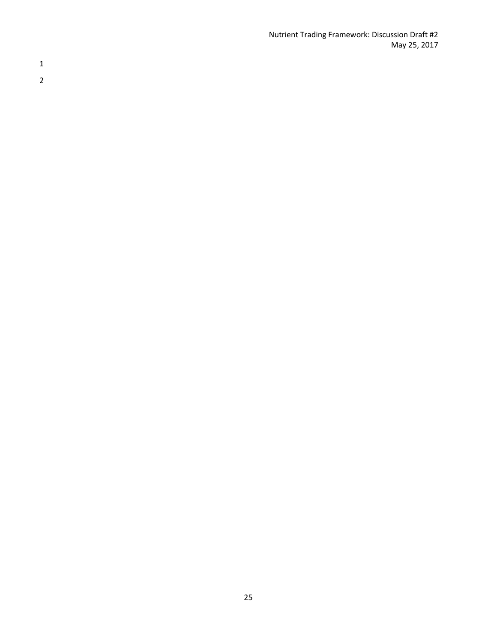- 1
- 2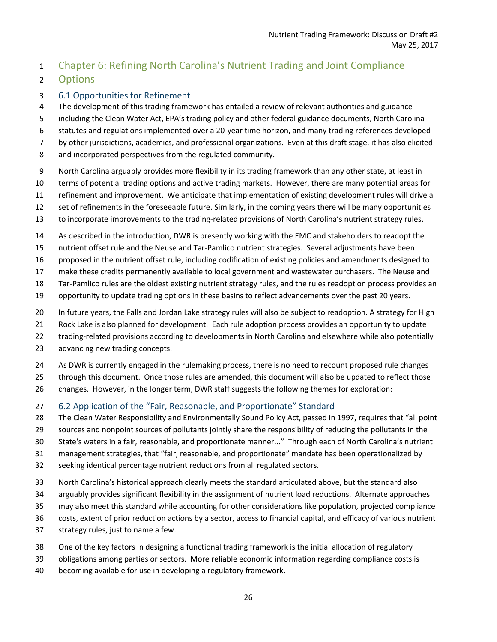# <span id="page-26-0"></span>Chapter 6: Refining North Carolina's Nutrient Trading and Joint Compliance

## Options

## <span id="page-26-1"></span>6.1 Opportunities for Refinement

- The development of this trading framework has entailed a review of relevant authorities and guidance
- including the Clean Water Act, EPA's trading policy and other federal guidance documents, North Carolina
- statutes and regulations implemented over a 20-year time horizon, and many trading references developed
- by other jurisdictions, academics, and professional organizations. Even at this draft stage, it has also elicited
- and incorporated perspectives from the regulated community.
- North Carolina arguably provides more flexibility in its trading framework than any other state, at least in
- terms of potential trading options and active trading markets. However, there are many potential areas for
- refinement and improvement. We anticipate that implementation of existing development rules will drive a
- set of refinements in the foreseeable future. Similarly, in the coming years there will be many opportunities
- to incorporate improvements to the trading-related provisions of North Carolina's nutrient strategy rules.
- As described in the introduction, DWR is presently working with the EMC and stakeholders to readopt the
- nutrient offset rule and the Neuse and Tar-Pamlico nutrient strategies. Several adjustments have been
- proposed in the nutrient offset rule, including codification of existing policies and amendments designed to
- make these credits permanently available to local government and wastewater purchasers. The Neuse and
- Tar-Pamlico rules are the oldest existing nutrient strategy rules, and the rules readoption process provides an
- opportunity to update trading options in these basins to reflect advancements over the past 20 years.
- 20 In future years, the Falls and Jordan Lake strategy rules will also be subject to readoption. A strategy for High
- Rock Lake is also planned for development. Each rule adoption process provides an opportunity to update
- trading-related provisions according to developments in North Carolina and elsewhere while also potentially
- advancing new trading concepts.
- As DWR is currently engaged in the rulemaking process, there is no need to recount proposed rule changes
- 25 through this document. Once those rules are amended, this document will also be updated to reflect those
- changes. However, in the longer term, DWR staff suggests the following themes for exploration:

### <span id="page-26-2"></span>6.2 Application of the "Fair, Reasonable, and Proportionate" Standard

- The Clean Water Responsibility and Environmentally Sound Policy Act, passed in 1997, requires that "all point
- sources and nonpoint sources of pollutants jointly share the responsibility of reducing the pollutants in the
- State's waters in a fair, reasonable, and proportionate manner..." Through each of North Carolina's nutrient
- management strategies, that "fair, reasonable, and proportionate" mandate has been operationalized by
- seeking identical percentage nutrient reductions from all regulated sectors.
- North Carolina's historical approach clearly meets the standard articulated above, but the standard also
- arguably provides significant flexibility in the assignment of nutrient load reductions. Alternate approaches
- may also meet this standard while accounting for other considerations like population, projected compliance
- costs, extent of prior reduction actions by a sector, access to financial capital, and efficacy of various nutrient
- strategy rules, just to name a few.
- One of the key factors in designing a functional trading framework is the initial allocation of regulatory
- obligations among parties or sectors. More reliable economic information regarding compliance costs is
- becoming available for use in developing a regulatory framework.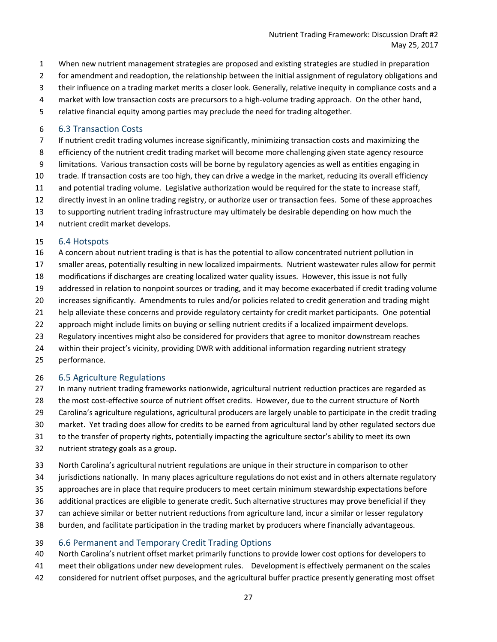- When new nutrient management strategies are proposed and existing strategies are studied in preparation
- for amendment and readoption, the relationship between the initial assignment of regulatory obligations and
- their influence on a trading market merits a closer look. Generally, relative inequity in compliance costs and a
- market with low transaction costs are precursors to a high-volume trading approach. On the other hand,
- relative financial equity among parties may preclude the need for trading altogether.

#### <span id="page-27-0"></span>6.3 Transaction Costs

- If nutrient credit trading volumes increase significantly, minimizing transaction costs and maximizing the
- efficiency of the nutrient credit trading market will become more challenging given state agency resource
- limitations. Various transaction costs will be borne by regulatory agencies as well as entities engaging in
- trade. If transaction costs are too high, they can drive a wedge in the market, reducing its overall efficiency
- and potential trading volume. Legislative authorization would be required for the state to increase staff,
- directly invest in an online trading registry, or authorize user or transaction fees. Some of these approaches
- to supporting nutrient trading infrastructure may ultimately be desirable depending on how much the
- nutrient credit market develops.

#### <span id="page-27-1"></span>6.4 Hotspots

- A concern about nutrient trading is that is has the potential to allow concentrated nutrient pollution in
- smaller areas, potentially resulting in new localized impairments. Nutrient wastewater rules allow for permit
- modifications if discharges are creating localized water quality issues. However, this issue is not fully
- addressed in relation to nonpoint sources or trading, and it may become exacerbated if credit trading volume
- increases significantly. Amendments to rules and/or policies related to credit generation and trading might
- help alleviate these concerns and provide regulatory certainty for credit market participants. One potential
- 22 approach might include limits on buying or selling nutrient credits if a localized impairment develops.
- Regulatory incentives might also be considered for providers that agree to monitor downstream reaches
- within their project's vicinity, providing DWR with additional information regarding nutrient strategy
- performance.

### <span id="page-27-2"></span>6.5 Agriculture Regulations

- 27 In many nutrient trading frameworks nationwide, agricultural nutrient reduction practices are regarded as
- the most cost-effective source of nutrient offset credits. However, due to the current structure of North
- Carolina's agriculture regulations, agricultural producers are largely unable to participate in the credit trading
- market. Yet trading does allow for credits to be earned from agricultural land by other regulated sectors due
- to the transfer of property rights, potentially impacting the agriculture sector's ability to meet its own
- nutrient strategy goals as a group.
- North Carolina's agricultural nutrient regulations are unique in their structure in comparison to other
- jurisdictions nationally. In many places agriculture regulations do not exist and in others alternate regulatory
- approaches are in place that require producers to meet certain minimum stewardship expectations before
- additional practices are eligible to generate credit. Such alternative structures may prove beneficial if they
- can achieve similar or better nutrient reductions from agriculture land, incur a similar or lesser regulatory
- burden, and facilitate participation in the trading market by producers where financially advantageous.

### <span id="page-27-3"></span>6.6 Permanent and Temporary Credit Trading Options

- North Carolina's nutrient offset market primarily functions to provide lower cost options for developers to
- meet their obligations under new development rules. Development is effectively permanent on the scales
- considered for nutrient offset purposes, and the agricultural buffer practice presently generating most offset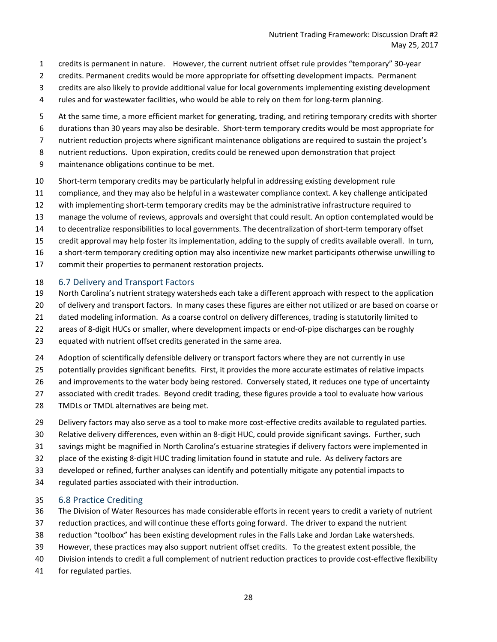- credits is permanent in nature. However, the current nutrient offset rule provides "temporary" 30-year
- credits. Permanent credits would be more appropriate for offsetting development impacts. Permanent
- credits are also likely to provide additional value for local governments implementing existing development
- rules and for wastewater facilities, who would be able to rely on them for long-term planning.
- At the same time, a more efficient market for generating, trading, and retiring temporary credits with shorter
- durations than 30 years may also be desirable. Short-term temporary credits would be most appropriate for
- nutrient reduction projects where significant maintenance obligations are required to sustain the project's
- nutrient reductions. Upon expiration, credits could be renewed upon demonstration that project
- maintenance obligations continue to be met.
- Short-term temporary credits may be particularly helpful in addressing existing development rule
- compliance, and they may also be helpful in a wastewater compliance context. A key challenge anticipated
- with implementing short-term temporary credits may be the administrative infrastructure required to
- manage the volume of reviews, approvals and oversight that could result. An option contemplated would be
- to decentralize responsibilities to local governments. The decentralization of short-term temporary offset
- credit approval may help foster its implementation, adding to the supply of credits available overall. In turn,
- a short-term temporary crediting option may also incentivize new market participants otherwise unwilling to
- commit their properties to permanent restoration projects.

#### <span id="page-28-0"></span>6.7 Delivery and Transport Factors

- North Carolina's nutrient strategy watersheds each take a different approach with respect to the application
- of delivery and transport factors. In many cases these figures are either not utilized or are based on coarse or
- dated modeling information. As a coarse control on delivery differences, trading is statutorily limited to
- areas of 8-digit HUCs or smaller, where development impacts or end-of-pipe discharges can be roughly
- equated with nutrient offset credits generated in the same area.
- Adoption of scientifically defensible delivery or transport factors where they are not currently in use
- potentially provides significant benefits. First, it provides the more accurate estimates of relative impacts
- and improvements to the water body being restored. Conversely stated, it reduces one type of uncertainty
- associated with credit trades. Beyond credit trading, these figures provide a tool to evaluate how various
- TMDLs or TMDL alternatives are being met.
- Delivery factors may also serve as a tool to make more cost-effective credits available to regulated parties.
- Relative delivery differences, even within an 8-digit HUC, could provide significant savings. Further, such
- savings might be magnified in North Carolina's estuarine strategies if delivery factors were implemented in
- place of the existing 8-digit HUC trading limitation found in statute and rule. As delivery factors are
- developed or refined, further analyses can identify and potentially mitigate any potential impacts to
- regulated parties associated with their introduction.

### <span id="page-28-1"></span>6.8 Practice Crediting

- The Division of Water Resources has made considerable efforts in recent years to credit a variety of nutrient
- reduction practices, and will continue these efforts going forward. The driver to expand the nutrient
- reduction "toolbox" has been existing development rules in the Falls Lake and Jordan Lake watersheds.
- However, these practices may also support nutrient offset credits. To the greatest extent possible, the
- Division intends to credit a full complement of nutrient reduction practices to provide cost-effective flexibility
- for regulated parties.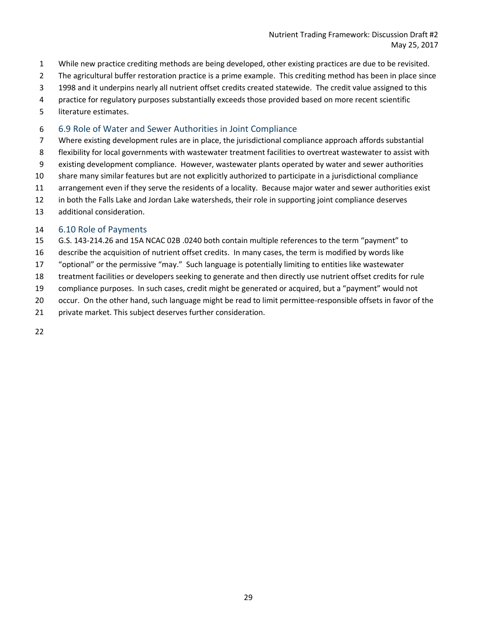- While new practice crediting methods are being developed, other existing practices are due to be revisited.
- The agricultural buffer restoration practice is a prime example. This crediting method has been in place since
- 1998 and it underpins nearly all nutrient offset credits created statewide. The credit value assigned to this
- practice for regulatory purposes substantially exceeds those provided based on more recent scientific
- literature estimates.

#### <span id="page-29-0"></span>6.9 Role of Water and Sewer Authorities in Joint Compliance

- Where existing development rules are in place, the jurisdictional compliance approach affords substantial
- flexibility for local governments with wastewater treatment facilities to overtreat wastewater to assist with
- existing development compliance. However, wastewater plants operated by water and sewer authorities
- share many similar features but are not explicitly authorized to participate in a jurisdictional compliance
- arrangement even if they serve the residents of a locality. Because major water and sewer authorities exist
- in both the Falls Lake and Jordan Lake watersheds, their role in supporting joint compliance deserves
- additional consideration.

### <span id="page-29-1"></span>6.10 Role of Payments

- G.S. 143-214.26 and 15A NCAC 02B .0240 both contain multiple references to the term "payment" to
- describe the acquisition of nutrient offset credits. In many cases, the term is modified by words like
- "optional" or the permissive "may." Such language is potentially limiting to entities like wastewater
- treatment facilities or developers seeking to generate and then directly use nutrient offset credits for rule
- compliance purposes. In such cases, credit might be generated or acquired, but a "payment" would not
- occur. On the other hand, such language might be read to limit permittee-responsible offsets in favor of the
- private market. This subject deserves further consideration.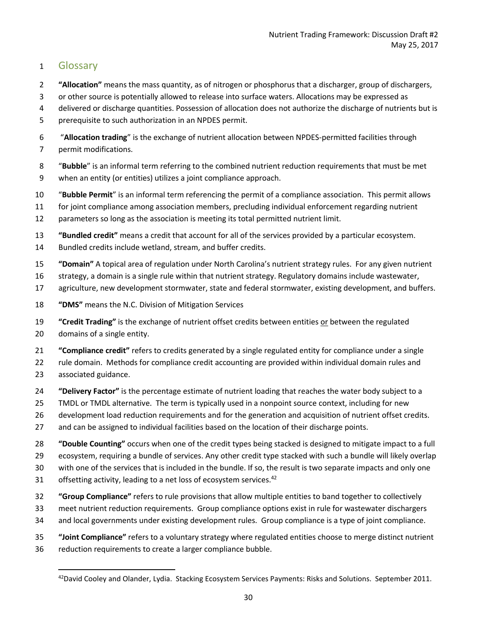# <span id="page-30-0"></span>Glossary

- **"Allocation"** means the mass quantity, as of nitrogen or phosphorus that a discharger, group of dischargers,
- or other source is potentially allowed to release into surface waters. Allocations may be expressed as
- delivered or discharge quantities. Possession of allocation does not authorize the discharge of nutrients but is
- prerequisite to such authorization in an NPDES permit.
- "**Allocation trading**" is the exchange of nutrient allocation between NPDES-permitted facilities through
- permit modifications.
- "**Bubble**" is an informal term referring to the combined nutrient reduction requirements that must be met
- when an entity (or entities) utilizes a joint compliance approach.
- "**Bubble Permit**" is an informal term referencing the permit of a compliance association. This permit allows
- for joint compliance among association members, precluding individual enforcement regarding nutrient
- parameters so long as the association is meeting its total permitted nutrient limit.
- **"Bundled credit"** means a credit that account for all of the services provided by a particular ecosystem.
- Bundled credits include wetland, stream, and buffer credits.
- **"Domain"** A topical area of regulation under North Carolina's nutrient strategy rules. For any given nutrient
- strategy, a domain is a single rule within that nutrient strategy. Regulatory domains include wastewater,
- agriculture, new development stormwater, state and federal stormwater, existing development, and buffers.
- **"DMS"** means the N.C. Division of Mitigation Services
- **"Credit Trading"** is the exchange of nutrient offset credits between entities or between the regulated
- domains of a single entity.
- **"Compliance credit"** refers to credits generated by a single regulated entity for compliance under a single
- 22 rule domain. Methods for compliance credit accounting are provided within individual domain rules and
- associated guidance.

- **"Delivery Factor"** is the percentage estimate of nutrient loading that reaches the water body subject to a
- TMDL or TMDL alternative. The term is typically used in a nonpoint source context, including for new
- development load reduction requirements and for the generation and acquisition of nutrient offset credits.
- and can be assigned to individual facilities based on the location of their discharge points.
- **"Double Counting"** occurs when one of the credit types being stacked is designed to mitigate impact to a full ecosystem, requiring a bundle of services. Any other credit type stacked with such a bundle will likely overlap
- with one of the services that is included in the bundle. If so, the result is two separate impacts and only one
- 31 offsetting activity, leading to a net loss of ecosystem services.<sup>42</sup>
- **"Group Compliance"** refers to rule provisions that allow multiple entities to band together to collectively
- meet nutrient reduction requirements. Group compliance options exist in rule for wastewater dischargers
- and local governments under existing development rules. Group compliance is a type of joint compliance.
- **"Joint Compliance"** refers to a voluntary strategy where regulated entities choose to merge distinct nutrient
- reduction requirements to create a larger compliance bubble.

<sup>&</sup>lt;sup>42</sup>David Cooley and Olander, Lydia. Stacking Ecosystem Services Payments: Risks and Solutions. September 2011.